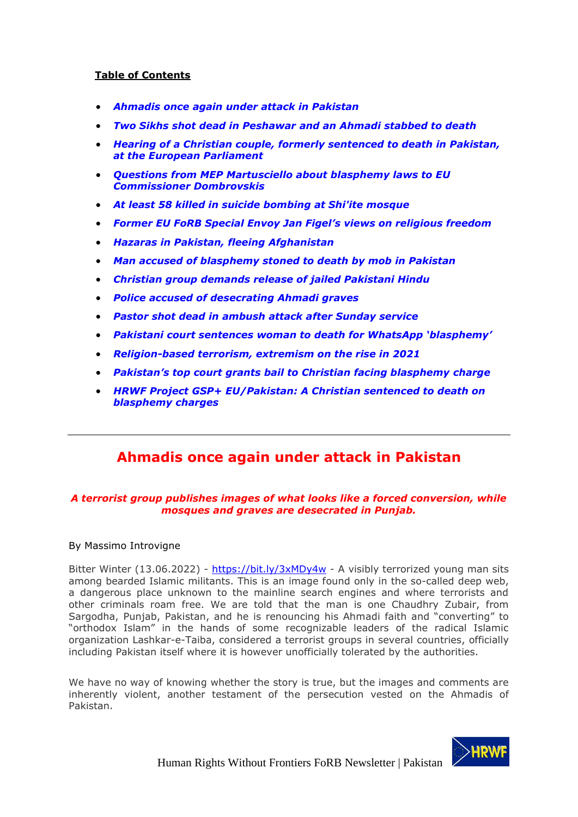### **Table of Contents**

- *[Ahmadis once again under attack in Pakistan](#page-0-0)*
- *[Two Sikhs shot dead in Peshawar and an Ahmadi stabbed to death](#page-1-0)*
- *[Hearing of a Christian couple, formerly sentenced to death in Pakistan,](#page-3-0)  [at the European Parliament](#page-3-0)*
- *[Questions from MEP Martusciello about blasphemy laws to EU](#page-5-0)  [Commissioner Dombrovskis](#page-5-0)*
- *At least [58 killed in suicide bombing at Shi'ite mosque](#page-7-0)*
- *[Former EU FoRB Special Envoy Jan Figel's views on religious freedom](#page-9-0)*
- *[Hazaras in Pakistan, fleeing Afghanistan](#page-16-0)*
- *[Man accused of blasphemy stoned to death by mob in Pakistan](#page-20-0)*
- *[Christian group demands release of jailed Pakistani Hindu](#page-21-0)*
- *[Police accused of desecrating Ahmadi graves](#page-22-0)*
- *[Pastor shot dead in ambush attack after Sunday service](#page-24-0)*
- *[Pakistani court sentences woman to death for WhatsApp 'blasphemy'](#page-25-0)*
- *[Religion-based terrorism, extremism on the rise in 2021](#page-26-0)*
- *[Pakistan's top court grants bail to Christian facing blasphemy](#page-28-0) charge*
- *[HRWF Project GSP+ EU/Pakistan: A Christian sentenced to death on](#page-29-0)  [blasphemy charges](#page-29-0)*

## **Ahmadis once again under attack in Pakistan**

### <span id="page-0-0"></span>*A terrorist group publishes images of what looks like a forced conversion, while mosques and graves are desecrated in Punjab.*

#### By Massimo Introvigne

Bitter Winter (13.06.2022) - <https://bit.ly/3xMDy4w> - A visibly terrorized young man sits among bearded Islamic militants. This is an image found only in the so-called deep web, a dangerous place unknown to the mainline search engines and where terrorists and other criminals roam free. We are told that the man is one Chaudhry Zubair, from Sargodha, Punjab, Pakistan, and he is renouncing his Ahmadi faith and "converting" to "orthodox Islam" in the hands of some recognizable leaders of the radical Islamic organization Lashkar-e-Taiba, considered a terrorist groups in several countries, officially including Pakistan itself where it is however unofficially tolerated by the authorities.

We have no way of knowing whether the story is true, but the images and comments are inherently violent, another testament of the persecution vested on the Ahmadis of Pakistan.

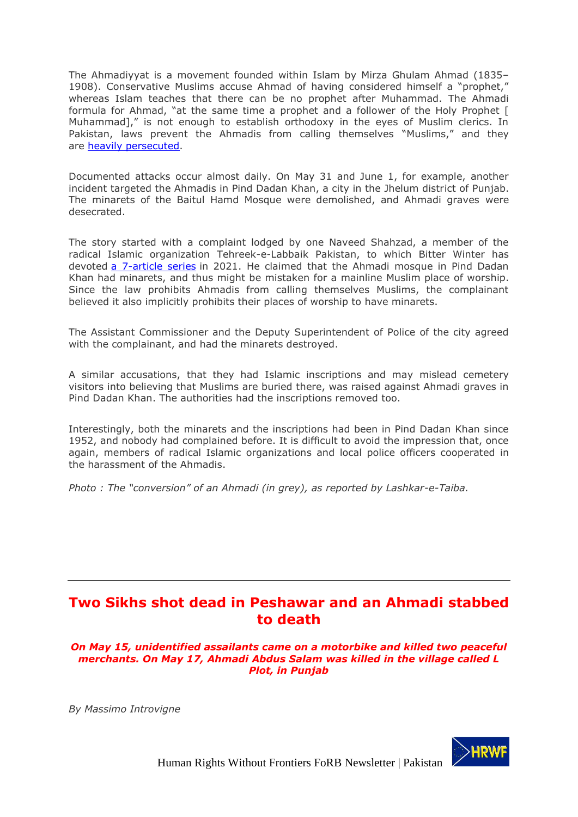The Ahmadiyyat is a movement founded within Islam by Mirza Ghulam Ahmad (1835– 1908). Conservative Muslims accuse Ahmad of having considered himself a "prophet," whereas Islam teaches that there can be no prophet after Muhammad. The Ahmadi formula for Ahmad, "at the same time a prophet and a follower of the Holy Prophet [ Muhammad]," is not enough to establish orthodoxy in the eyes of Muslim clerics. In Pakistan, laws prevent the Ahmadis from calling themselves "Muslims," and they are [heavily persecuted.](https://bitterwinter.org/tag/ahmadis/)

Documented attacks occur almost daily. On May 31 and June 1, for example, another incident targeted the Ahmadis in Pind Dadan Khan, a city in the Jhelum district of Punjab. The minarets of the Baitul Hamd Mosque were demolished, and Ahmadi graves were desecrated.

The story started with a complaint lodged by one Naveed Shahzad, a member of the radical Islamic organization Tehreek-e-Labbaik Pakistan, to which Bitter Winter has devoted [a 7-article series](https://bitterwinter.org/tag/tehreek-e-labbaik/) in 2021. He claimed that the Ahmadi mosque in Pind Dadan Khan had minarets, and thus might be mistaken for a mainline Muslim place of worship. Since the law prohibits Ahmadis from calling themselves Muslims, the complainant believed it also implicitly prohibits their places of worship to have minarets.

The Assistant Commissioner and the Deputy Superintendent of Police of the city agreed with the complainant, and had the minarets destroyed.

A similar accusations, that they had Islamic inscriptions and may mislead cemetery visitors into believing that Muslims are buried there, was raised against Ahmadi graves in Pind Dadan Khan. The authorities had the inscriptions removed too.

Interestingly, both the minarets and the inscriptions had been in Pind Dadan Khan since 1952, and nobody had complained before. It is difficult to avoid the impression that, once again, members of radical Islamic organizations and local police officers cooperated in the harassment of the Ahmadis.

*Photo : The "conversion" of an Ahmadi (in grey), as reported by Lashkar-e-Taiba.*

## <span id="page-1-0"></span>**Two Sikhs shot dead in Peshawar and an Ahmadi stabbed to death**

*On May 15, unidentified assailants came on a motorbike and killed two peaceful merchants. On May 17, Ahmadi Abdus Salam was killed in the village called L Plot, in Punjab*

*By Massimo Introvigne*

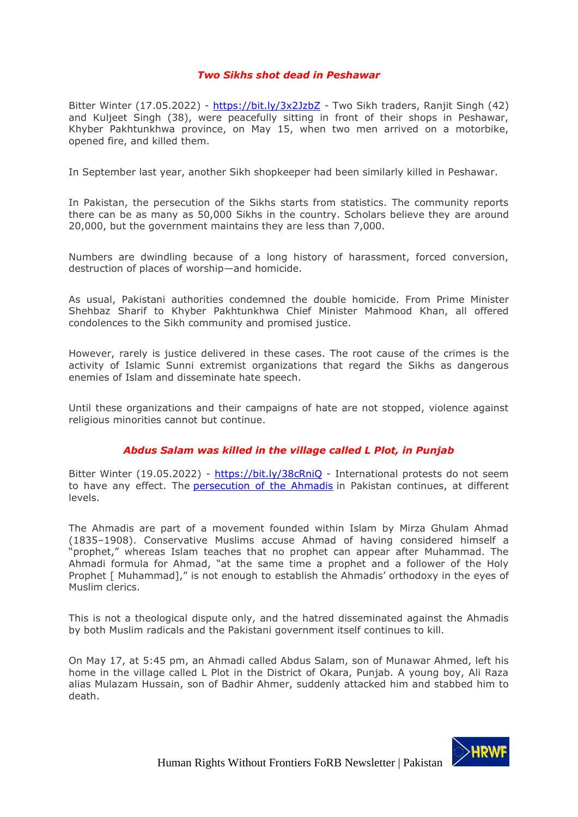### *Two Sikhs shot dead in Peshawar*

Bitter Winter (17.05.2022) - <https://bit.ly/3x2JzbZ> *-* Two Sikh traders, Ranjit Singh (42) and Kuljeet Singh (38), were peacefully sitting in front of their shops in Peshawar, Khyber Pakhtunkhwa province, on May 15, when two men arrived on a motorbike, opened fire, and killed them.

In September last year, another Sikh shopkeeper had been similarly killed in Peshawar.

In Pakistan, the persecution of the Sikhs starts from statistics. The community reports there can be as many as 50,000 Sikhs in the country. Scholars believe they are around 20,000, but the government maintains they are less than 7,000.

Numbers are dwindling because of a long history of harassment, forced conversion, destruction of places of worship—and homicide.

As usual, Pakistani authorities condemned the double homicide. From Prime Minister Shehbaz Sharif to Khyber Pakhtunkhwa Chief Minister Mahmood Khan, all offered condolences to the Sikh community and promised justice.

However, rarely is justice delivered in these cases. The root cause of the crimes is the activity of Islamic Sunni extremist organizations that regard the Sikhs as dangerous enemies of Islam and disseminate hate speech.

Until these organizations and their campaigns of hate are not stopped, violence against religious minorities cannot but continue.

#### *Abdus Salam was killed in the village called L Plot, in Punjab*

Bitter Winter (19.05.2022) - <https://bit.ly/38cRniQ> - International protests do not seem to have any effect. The **[persecution of the Ahmadis](https://bitterwinter.org/the-persecution-of-the-ahmadis-in-pakistan-5-why-ahmadis-cannot-vote/)** in Pakistan continues, at different levels.

The Ahmadis are part of a movement founded within Islam by Mirza Ghulam Ahmad (1835–1908). Conservative Muslims accuse Ahmad of having considered himself a "prophet," whereas Islam teaches that no prophet can appear after Muhammad. The Ahmadi formula for Ahmad, "at the same time a prophet and a follower of the Holy Prophet [ Muhammad]," is not enough to establish the Ahmadis' orthodoxy in the eyes of Muslim clerics.

This is not a theological dispute only, and the hatred disseminated against the Ahmadis by both Muslim radicals and the Pakistani government itself continues to kill.

On May 17, at 5:45 pm, an Ahmadi called Abdus Salam, son of Munawar Ahmed, left his home in the village called L Plot in the District of Okara, Punjab. A young boy, Ali Raza alias Mulazam Hussain, son of Badhir Ahmer, suddenly attacked him and stabbed him to death.

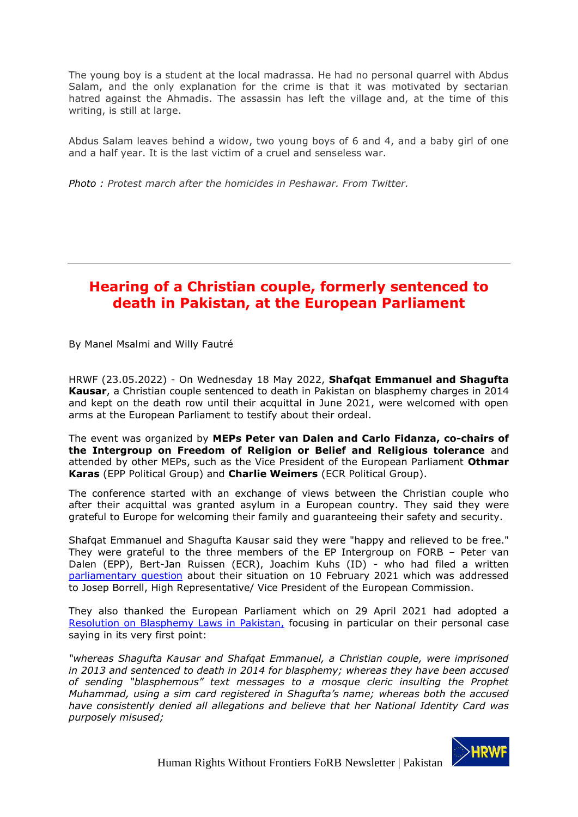The young boy is a student at the local madrassa. He had no personal quarrel with Abdus Salam, and the only explanation for the crime is that it was motivated by sectarian hatred against the Ahmadis. The assassin has left the village and, at the time of this writing, is still at large.

Abdus Salam leaves behind a widow, two young boys of 6 and 4, and a baby girl of one and a half year. It is the last victim of a cruel and senseless war.

*Photo : Protest march after the homicides in Peshawar. From Twitter.*

## <span id="page-3-0"></span>**Hearing of a Christian couple, formerly sentenced to death in Pakistan, at the European Parliament**

By Manel Msalmi and Willy Fautré

HRWF (23.05.2022) - On Wednesday 18 May 2022, **Shafqat Emmanuel and Shagufta Kausar**, a Christian couple sentenced to death in Pakistan on blasphemy charges in 2014 and kept on the death row until their acquittal in June 2021, were welcomed with open arms at the European Parliament to testify about their ordeal.

The event was organized by **MEPs Peter van Dalen and Carlo Fidanza, co-chairs of the Intergroup on Freedom of Religion or Belief and Religious tolerance** and attended by other MEPs, such as the Vice President of the European Parliament **Othmar Karas** (EPP Political Group) and **Charlie Weimers** (ECR Political Group).

The conference started with an exchange of views between the Christian couple who after their acquittal was granted asylum in a European country. They said they were grateful to Europe for welcoming their family and guaranteeing their safety and security.

Shafqat Emmanuel and Shagufta Kausar said they were "happy and relieved to be free." They were grateful to the three members of the EP Intergroup on FORB – Peter van Dalen (EPP), Bert-Jan Ruissen (ECR), Joachim Kuhs (ID) - who had filed a written [parliamentary question](https://www.europarl.europa.eu/doceo/document/E-9-2021-000821_EN.html) about their situation on 10 February 2021 which was addressed to Josep Borrell, High Representative/ Vice President of the European Commission.

They also thanked the European Parliament which on 29 April 2021 had adopted a [Resolution on Blasphemy Laws in Pakistan,](https://www.europarl.europa.eu/doceo/document/TA-9-2021-0157_EN.html) focusing in particular on their personal case saying in its very first point:

*"whereas Shagufta Kausar and Shafqat Emmanuel, a Christian couple, were imprisoned in 2013 and sentenced to death in 2014 for blasphemy; whereas they have been accused of sending "blasphemous" text messages to a mosque cleric insulting the Prophet Muhammad, using a sim card registered in Shagufta's name; whereas both the accused have consistently denied all allegations and believe that her National Identity Card was purposely misused;*

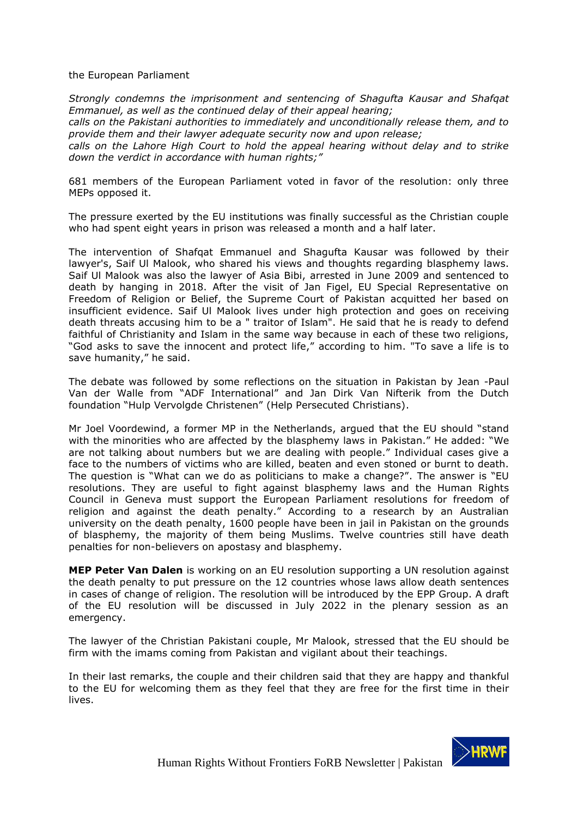#### the European Parliament

*Strongly condemns the imprisonment and sentencing of Shagufta Kausar and Shafqat Emmanuel, as well as the continued delay of their appeal hearing;* 

*calls on the Pakistani authorities to immediately and unconditionally release them, and to provide them and their lawyer adequate security now and upon release;* 

*calls on the Lahore High Court to hold the appeal hearing without delay and to strike down the verdict in accordance with human rights;"*

681 members of the European Parliament voted in favor of the resolution: only three MEPs opposed it.

The pressure exerted by the EU institutions was finally successful as the Christian couple who had spent eight years in prison was released a month and a half later.

The intervention of Shafqat Emmanuel and Shagufta Kausar was followed by their lawyer's, Saif Ul Malook, who shared his views and thoughts regarding blasphemy laws. Saif Ul Malook was also the lawyer of Asia Bibi, arrested in June 2009 and sentenced to death by hanging in 2018. After the visit of Jan Figel, EU Special Representative on Freedom of Religion or Belief, the Supreme Court of Pakistan acquitted her based on insufficient evidence. Saif Ul Malook lives under high protection and goes on receiving death threats accusing him to be a " traitor of Islam". He said that he is ready to defend faithful of Christianity and Islam in the same way because in each of these two religions, "God asks to save the innocent and protect life," according to him. "To save a life is to save humanity," he said.

The debate was followed by some reflections on the situation in Pakistan by Jean -Paul Van der Walle from "ADF International" and Jan Dirk Van Nifterik from the Dutch foundation "Hulp Vervolgde Christenen" (Help Persecuted Christians).

Mr Joel Voordewind, a former MP in the Netherlands, argued that the EU should "stand with the minorities who are affected by the blasphemy laws in Pakistan." He added: "We are not talking about numbers but we are dealing with people." Individual cases give a face to the numbers of victims who are killed, beaten and even stoned or burnt to death. The question is "What can we do as politicians to make a change?". The answer is "EU resolutions. They are useful to fight against blasphemy laws and the Human Rights Council in Geneva must support the European Parliament resolutions for freedom of religion and against the death penalty." According to a research by an Australian university on the death penalty, 1600 people have been in jail in Pakistan on the grounds of blasphemy, the majority of them being Muslims. Twelve countries still have death penalties for non-believers on apostasy and blasphemy.

**MEP Peter Van Dalen** is working on an EU resolution supporting a UN resolution against the death penalty to put pressure on the 12 countries whose laws allow death sentences in cases of change of religion. The resolution will be introduced by the EPP Group. A draft of the EU resolution will be discussed in July 2022 in the plenary session as an emergency.

The lawyer of the Christian Pakistani couple, Mr Malook, stressed that the EU should be firm with the imams coming from Pakistan and vigilant about their teachings.

In their last remarks, the couple and their children said that they are happy and thankful to the EU for welcoming them as they feel that they are free for the first time in their lives.

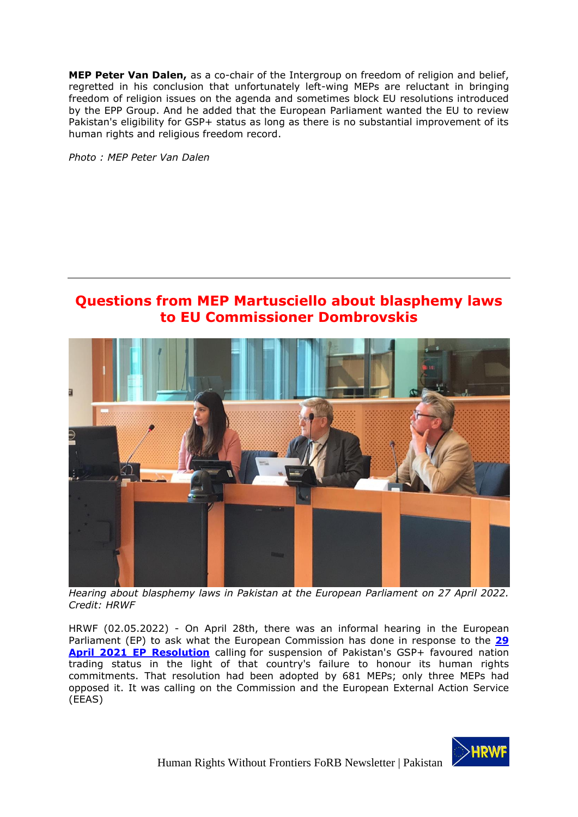**MEP Peter Van Dalen,** as a co-chair of the Intergroup on freedom of religion and belief, regretted in his conclusion that unfortunately left-wing MEPs are reluctant in bringing freedom of religion issues on the agenda and sometimes block EU resolutions introduced by the EPP Group. And he added that the European Parliament wanted the EU to review Pakistan's eligibility for GSP+ status as long as there is no substantial improvement of its human rights and religious freedom record.

*Photo : MEP Peter Van Dalen*

## <span id="page-5-0"></span>**Questions from MEP Martusciello about blasphemy laws to EU Commissioner Dombrovskis**



*Hearing about blasphemy laws in Pakistan at the European Parliament on 27 April 2022. Credit: HRWF*

HRWF (02.05.2022) - On April 28th, there was an informal hearing in the European Parliament (EP) to ask what the European Commission has done in response to the **[29](https://www.europarl.europa.eu/doceo/document/TA-9-2021-0157_EN.html)  [April 2021 EP Resolution](https://www.europarl.europa.eu/doceo/document/TA-9-2021-0157_EN.html)** calling for suspension of Pakistan's GSP+ favoured nation trading status in the light of that country's failure to honour its human rights commitments. That resolution had been adopted by 681 MEPs; only three MEPs had opposed it. It was calling on the Commission and the European External Action Service (EEAS)

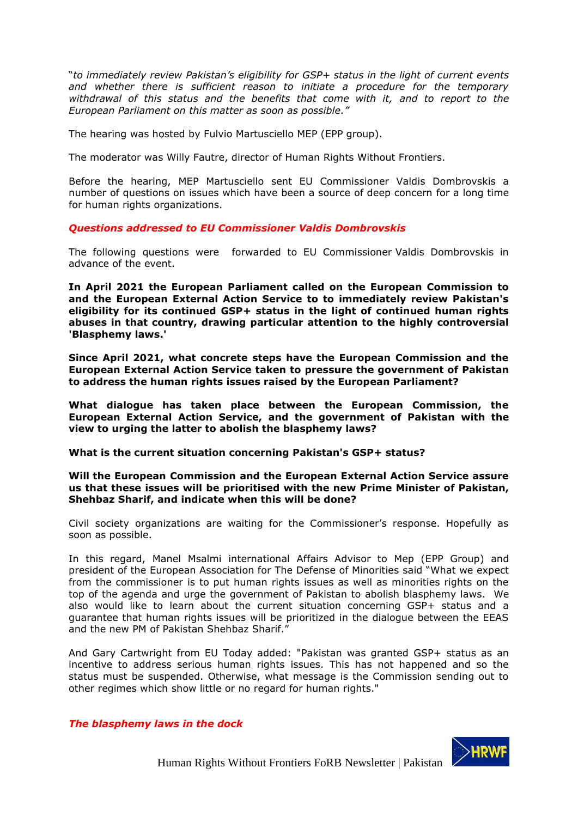"*to immediately review Pakistan's eligibility for GSP+ status in the light of current events and whether there is sufficient reason to initiate a procedure for the temporary withdrawal of this status and the benefits that come with it, and to report to the European Parliament on this matter as soon as possible."*

The hearing was hosted by Fulvio Martusciello MEP (EPP group).

The moderator was Willy Fautre, director of Human Rights Without Frontiers.

Before the hearing, MEP Martusciello sent EU Commissioner Valdis Dombrovskis a number of questions on issues which have been a source of deep concern for a long time for human rights organizations.

#### *Questions addressed to EU Commissioner Valdis Dombrovskis*

The following questions were forwarded to EU Commissioner Valdis Dombrovskis in advance of the event.

**In April 2021 the European Parliament called on the European Commission to and the European External Action Service to to immediately review Pakistan's eligibility for its continued GSP+ status in the light of continued human rights abuses in that country, drawing particular attention to the highly controversial 'Blasphemy laws.'**

**Since April 2021, what concrete steps have the European Commission and the European External Action Service taken to pressure the government of Pakistan to address the human rights issues raised by the European Parliament?**

**What dialogue has taken place between the European Commission, the European External Action Service, and the government of Pakistan with the view to urging the latter to abolish the blasphemy laws?**

**What is the current situation concerning Pakistan's GSP+ status?**

#### **Will the European Commission and the European External Action Service assure us that these issues will be prioritised with the new Prime Minister of Pakistan, Shehbaz Sharif, and indicate when this will be done?**

Civil society organizations are waiting for the Commissioner's response. Hopefully as soon as possible.

In this regard, Manel Msalmi international Affairs Advisor to Mep (EPP Group) and president of the European Association for The Defense of Minorities said "What we expect from the commissioner is to put human rights issues as well as minorities rights on the top of the agenda and urge the government of Pakistan to abolish blasphemy laws. We also would like to learn about the current situation concerning GSP+ status and a guarantee that human rights issues will be prioritized in the dialogue between the EEAS and the new PM of Pakistan Shehbaz Sharif."

And Gary Cartwright from EU Today added: "Pakistan was granted GSP+ status as an incentive to address serious human rights issues. This has not happened and so the status must be suspended. Otherwise, what message is the Commission sending out to other regimes which show little or no regard for human rights."

#### *The blasphemy laws in the dock*

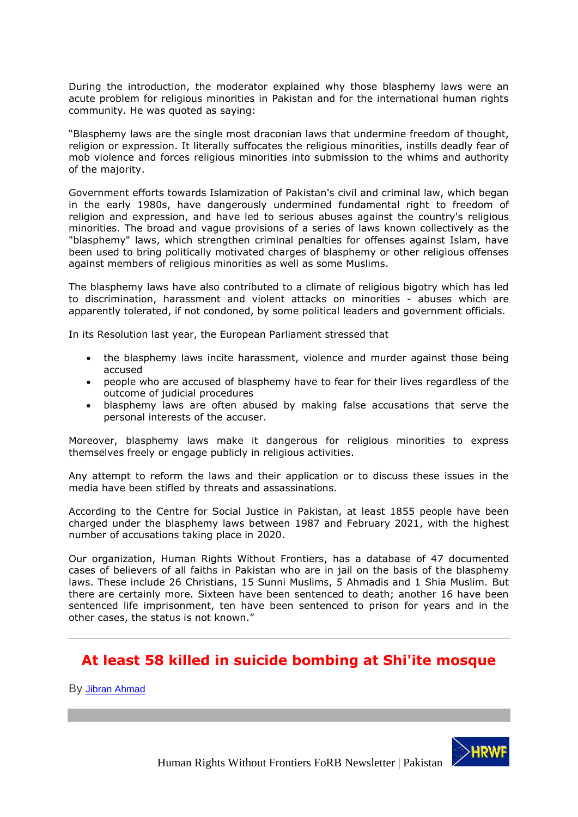During the introduction, the moderator explained why those blasphemy laws were an acute problem for religious minorities in Pakistan and for the international human rights community. He was quoted as saying:

"Blasphemy laws are the single most draconian laws that undermine freedom of thought, religion or expression. It literally suffocates the religious minorities, instills deadly fear of mob violence and forces religious minorities into submission to the whims and authority of the majority.

Government efforts towards Islamization of Pakistan's civil and criminal law, which began in the early 1980s, have dangerously undermined fundamental right to freedom of religion and expression, and have led to serious abuses against the country's religious minorities. The broad and vague provisions of a series of laws known collectively as the "blasphemy" laws, which strengthen criminal penalties for offenses against Islam, have been used to bring politically motivated charges of blasphemy or other religious offenses against members of religious minorities as well as some Muslims.

The blasphemy laws have also contributed to a climate of religious bigotry which has led to discrimination, harassment and violent attacks on minorities - abuses which are apparently tolerated, if not condoned, by some political leaders and government officials.

In its Resolution last year, the European Parliament stressed that

- the blasphemy laws incite harassment, violence and murder against those being accused
- people who are accused of blasphemy have to fear for their lives regardless of the outcome of judicial procedures
- blasphemy laws are often abused by making false accusations that serve the personal interests of the accuser.

Moreover, blasphemy laws make it dangerous for religious minorities to express themselves freely or engage publicly in religious activities.

Any attempt to reform the laws and their application or to discuss these issues in the media have been stifled by threats and assassinations.

According to the Centre for Social Justice in Pakistan, at least 1855 people have been charged under the blasphemy laws between 1987 and February 2021, with the highest number of accusations taking place in 2020.

Our organization, Human Rights Without Frontiers, has a database of 47 documented cases of believers of all faiths in Pakistan who are in jail on the basis of the blasphemy laws. These include 26 Christians, 15 Sunni Muslims, 5 Ahmadis and 1 Shia Muslim. But there are certainly more. Sixteen have been sentenced to death; another 16 have been sentenced life imprisonment, ten have been sentenced to prison for years and in the other cases, the status is not known."

# <span id="page-7-0"></span>**At least 58 killed in suicide bombing at Shi'ite mosque**

By [Jibran Ahmad](https://www.reuters.com/authors/jibran-ahmad/)

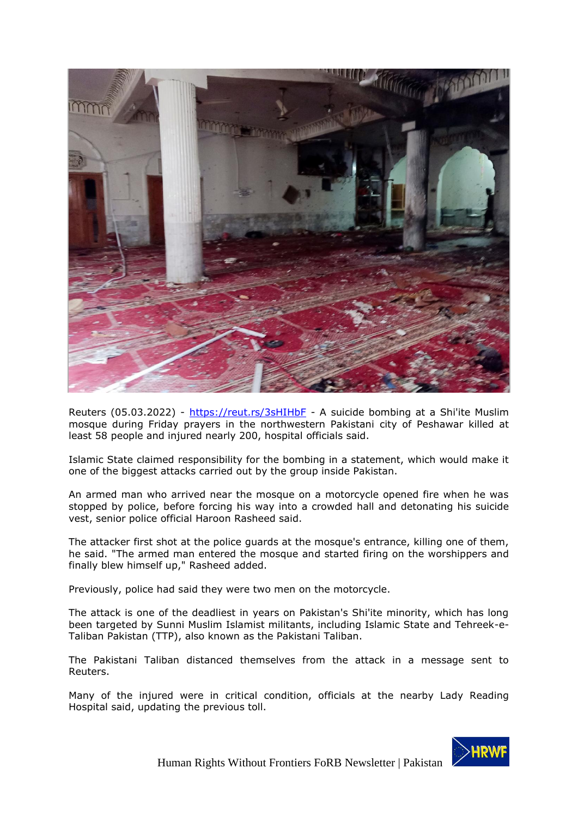

Reuters (05.03.2022) - <https://reut.rs/3sHIHbF> - A suicide bombing at a Shi'ite Muslim mosque during Friday prayers in the northwestern Pakistani city of Peshawar killed at least 58 people and injured nearly 200, hospital officials said.

Islamic State claimed responsibility for the bombing in a statement, which would make it one of the biggest attacks carried out by the group inside Pakistan.

An armed man who arrived near the mosque on a motorcycle opened fire when he was stopped by police, before forcing his way into a crowded hall and detonating his suicide vest, senior police official Haroon Rasheed said.

The attacker first shot at the police guards at the mosque's entrance, killing one of them, he said. "The armed man entered the mosque and started firing on the worshippers and finally blew himself up," Rasheed added.

Previously, police had said they were two men on the motorcycle.

The attack is one of the deadliest in years on Pakistan's Shi'ite minority, which has long been targeted by Sunni Muslim Islamist militants, including Islamic State and Tehreek-e-Taliban Pakistan (TTP), also known as the Pakistani Taliban.

The Pakistani Taliban distanced themselves from the attack in a message sent to Reuters.

Many of the injured were in critical condition, officials at the nearby Lady Reading Hospital said, updating the previous toll.

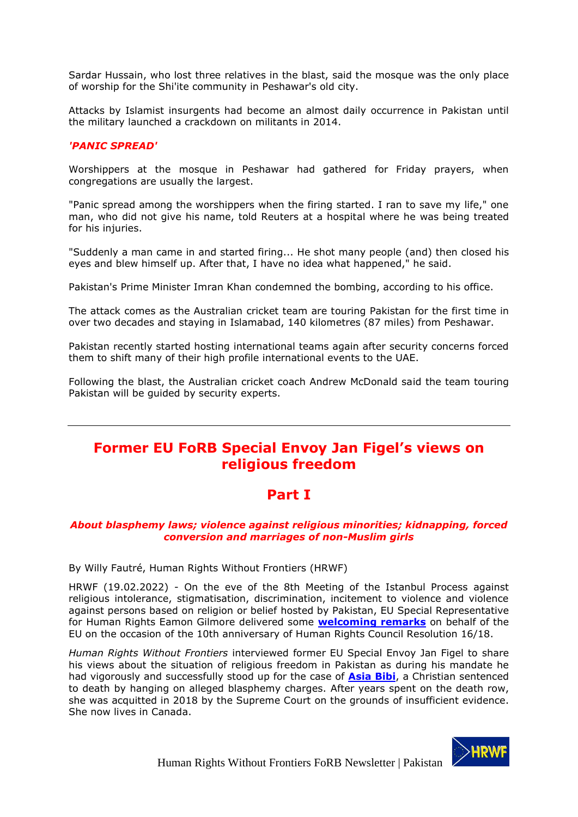Sardar Hussain, who lost three relatives in the blast, said the mosque was the only place of worship for the Shi'ite community in Peshawar's old city.

Attacks by Islamist insurgents had become an almost daily occurrence in Pakistan until the military launched a crackdown on militants in 2014.

### *'PANIC SPREAD'*

Worshippers at the mosque in Peshawar had gathered for Friday prayers, when congregations are usually the largest.

"Panic spread among the worshippers when the firing started. I ran to save my life," one man, who did not give his name, told Reuters at a hospital where he was being treated for his injuries.

"Suddenly a man came in and started firing... He shot many people (and) then closed his eyes and blew himself up. After that, I have no idea what happened," he said.

Pakistan's Prime Minister Imran Khan condemned the bombing, according to his office.

The attack comes as the Australian cricket team are touring Pakistan for the first time in over two decades and staying in Islamabad, 140 kilometres (87 miles) from Peshawar.

Pakistan recently started hosting international teams again after security concerns forced them to shift many of their high profile international events to the UAE.

Following the blast, the Australian cricket coach Andrew McDonald said the team touring Pakistan will be guided by security experts.

## <span id="page-9-0"></span>**Former EU FoRB Special Envoy Jan Figel's views on religious freedom**

## **Part I**

### *About blasphemy laws; violence against religious minorities; kidnapping, forced conversion and marriages of non-Muslim girls*

By Willy Fautré, Human Rights Without Frontiers (HRWF)

HRWF (19.02.2022) - On the eve of the 8th Meeting of the Istanbul Process against religious intolerance, stigmatisation, discrimination, incitement to violence and violence against persons based on religion or belief hosted by Pakistan, EU Special Representative for Human Rights Eamon Gilmore delivered some **[welcoming remarks](https://www.gilmore.ie/8th-meeting-of-the-istanbul-process/)** on behalf of the EU on the occasion of the 10th anniversary of Human Rights Council Resolution 16/18.

*Human Rights Without Frontiers* interviewed former EU Special Envoy Jan Figel to share his views about the situation of religious freedom in Pakistan as during his mandate he had vigorously and successfully stood up for the case of **[Asia Bibi](https://www.amazon.com/Blasphemy-Memoir-Sentenced-Death-Water/dp/1613748892)**, a Christian sentenced to death by hanging on alleged blasphemy charges. After years spent on the death row, she was acquitted in 2018 by the Supreme Court on the grounds of insufficient evidence. She now lives in Canada.

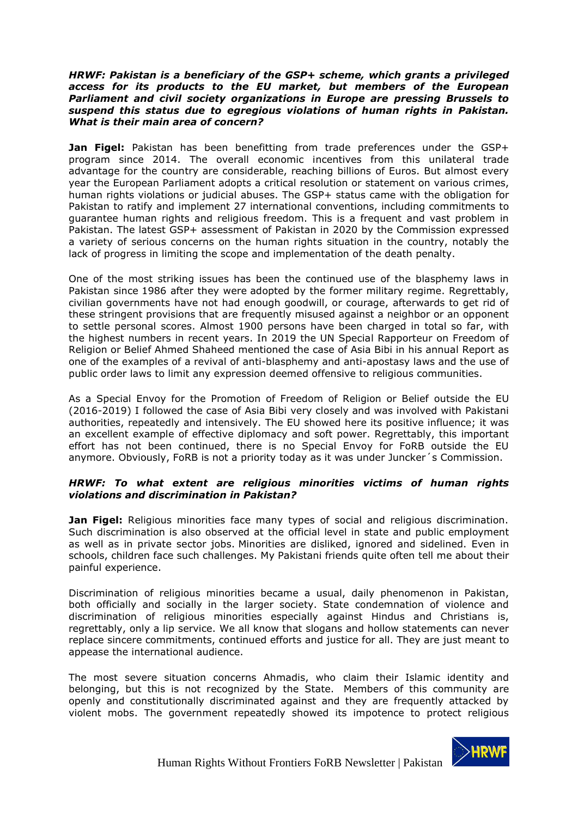#### *HRWF: Pakistan is a beneficiary of the GSP+ scheme, which grants a privileged access for its products to the EU market, but members of the European Parliament and civil society organizations in Europe are pressing Brussels to suspend this status due to egregious violations of human rights in Pakistan. What is their main area of concern?*

**Jan Figel:** Pakistan has been benefitting from trade preferences under the GSP+ program since 2014. The overall economic incentives from this unilateral trade advantage for the country are considerable, reaching billions of Euros. But almost every year the European Parliament adopts a critical resolution or statement on various crimes, human rights violations or judicial abuses. The GSP+ status came with the obligation for Pakistan to ratify and implement 27 international conventions, including commitments to guarantee human rights and religious freedom. This is a frequent and vast problem in Pakistan. The latest GSP+ assessment of Pakistan in 2020 by the Commission expressed a variety of serious concerns on the human rights situation in the country, notably the lack of progress in limiting the scope and implementation of the death penalty.

One of the most striking issues has been the continued use of the blasphemy laws in Pakistan since 1986 after they were adopted by the former military regime. Regrettably, civilian governments have not had enough goodwill, or courage, afterwards to get rid of these stringent provisions that are frequently misused against a neighbor or an opponent to settle personal scores. Almost 1900 persons have been charged in total so far, with the highest numbers in recent years. In 2019 the UN Special Rapporteur on Freedom of Religion or Belief Ahmed Shaheed mentioned the case of Asia Bibi in his annual Report as one of the examples of a revival of anti-blasphemy and anti-apostasy laws and the use of public order laws to limit any expression deemed offensive to religious communities.

As a Special Envoy for the Promotion of Freedom of Religion or Belief outside the EU (2016-2019) I followed the case of Asia Bibi very closely and was involved with Pakistani authorities, repeatedly and intensively. The EU showed here its positive influence; it was an excellent example of effective diplomacy and soft power. Regrettably, this important effort has not been continued, there is no Special Envoy for FoRB outside the EU anymore. Obviously, FoRB is not a priority today as it was under Juncker´s Commission.

### *HRWF: To what extent are religious minorities victims of human rights violations and discrimination in Pakistan?*

**Jan Figel:** Religious minorities face many types of social and religious discrimination. Such discrimination is also observed at the official level in state and public employment as well as in private sector jobs. Minorities are disliked, ignored and sidelined. Even in schools, children face such challenges. My Pakistani friends quite often tell me about their painful experience.

Discrimination of religious minorities became a usual, daily phenomenon in Pakistan, both officially and socially in the larger society. State condemnation of violence and discrimination of religious minorities especially against Hindus and Christians is, regrettably, only a lip service. We all know that slogans and hollow statements can never replace sincere commitments, continued efforts and justice for all. They are just meant to appease the international audience.

The most severe situation concerns Ahmadis, who claim their Islamic identity and belonging, but this is not recognized by the State. Members of this community are openly and constitutionally discriminated against and they are frequently attacked by violent mobs. The government repeatedly showed its impotence to protect religious

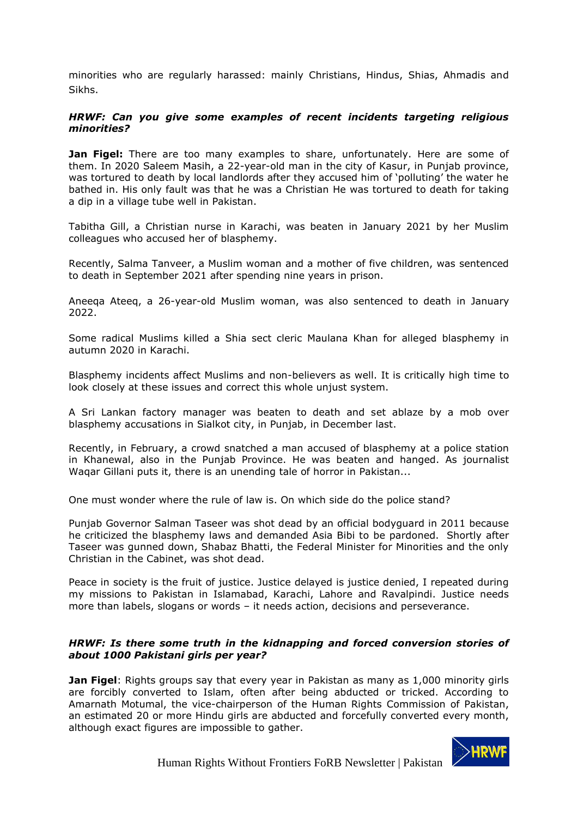minorities who are regularly harassed: mainly Christians, Hindus, Shias, Ahmadis and Sikhs.

### *HRWF: Can you give some examples of recent incidents targeting religious minorities?*

**Jan Figel:** There are too many examples to share, unfortunately. Here are some of them. In 2020 Saleem Masih, a 22-year-old man in the city of Kasur, in Punjab province, was tortured to death by local landlords after they accused him of 'polluting' the water he bathed in. His only fault was that he was a Christian He was tortured to death for taking a dip in a village tube well in Pakistan.

Tabitha Gill, a Christian nurse in Karachi, was beaten in January 2021 by her Muslim colleagues who accused her of blasphemy.

Recently, Salma Tanveer, a Muslim woman and a mother of five children, was sentenced to death in September 2021 after spending nine years in prison.

Aneeqa Ateeq, a 26-year-old Muslim woman, was also sentenced to death in January 2022.

Some radical Muslims killed a Shia sect cleric Maulana Khan for alleged blasphemy in autumn 2020 in Karachi.

Blasphemy incidents affect Muslims and non-believers as well. It is critically high time to look closely at these issues and correct this whole unjust system.

A Sri Lankan factory manager was beaten to death and set ablaze by a mob over blasphemy accusations in Sialkot city, in Punjab, in December last.

Recently, in February, a crowd snatched a man accused of blasphemy at a police station in Khanewal, also in the Punjab Province. He was beaten and hanged. As journalist Waqar Gillani puts it, there is an unending tale of horror in Pakistan...

One must wonder where the rule of law is. On which side do the police stand?

Punjab Governor Salman Taseer was shot dead by an official bodyguard in 2011 because he criticized the blasphemy laws and demanded Asia Bibi to be pardoned. Shortly after Taseer was gunned down, Shabaz Bhatti, the Federal Minister for Minorities and the only Christian in the Cabinet, was shot dead.

Peace in society is the fruit of justice. Justice delayed is justice denied, I repeated during my missions to Pakistan in Islamabad, Karachi, Lahore and Ravalpindi. Justice needs more than labels, slogans or words – it needs action, decisions and perseverance.

### *HRWF: Is there some truth in the kidnapping and forced conversion stories of about 1000 Pakistani girls per year?*

**Jan Figel**: Rights groups say that every year in Pakistan as many as 1,000 minority girls are forcibly converted to Islam, often after being abducted or tricked. According to Amarnath Motumal, the vice-chairperson of the Human Rights Commission of Pakistan, an estimated 20 or more Hindu girls are abducted and forcefully converted every month, although exact figures are impossible to gather.

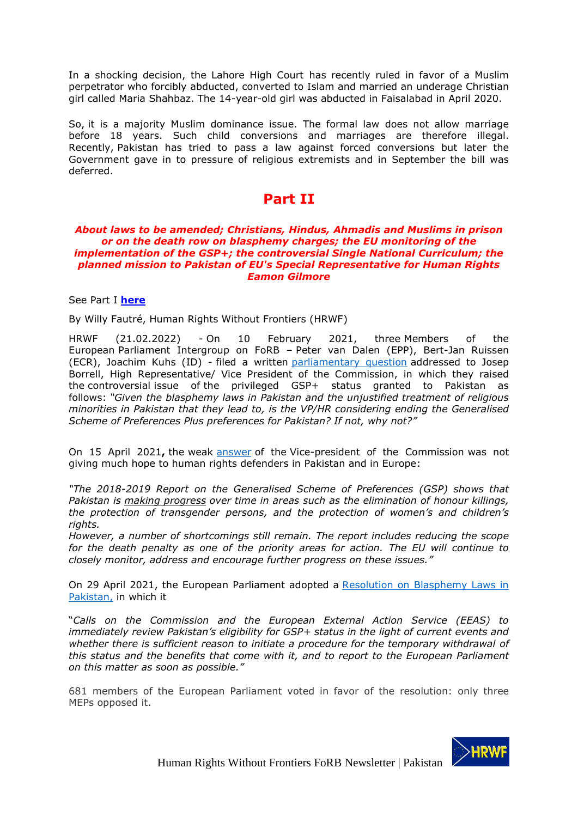In a shocking decision, the Lahore High Court has recently ruled in favor of a Muslim perpetrator who forcibly abducted, converted to Islam and married an underage Christian girl called Maria Shahbaz. The 14-year-old girl was abducted in Faisalabad in April 2020.

So, it is a majority Muslim dominance issue. The formal law does not allow marriage before 18 years. Such child conversions and marriages are therefore illegal. Recently, Pakistan has tried to pass a law against forced conversions but later the Government gave in to pressure of religious extremists and in September the bill was deferred.

### **Part II**

#### *About laws to be amended; Christians, Hindus, Ahmadis and Muslims in prison or on the death row on blasphemy charges; the EU monitoring of the implementation of the GSP+; the controversial Single National Curriculum; the planned mission to Pakistan of EU's Special Representative for Human Rights Eamon Gilmore*

### See Part I **[here](https://hrwf.eu/pakistan-former-eu-forb-special-envoy-jan-figels-views-on-religious-freedom-part-i/)**

By Willy Fautré, Human Rights Without Frontiers (HRWF)

HRWF (21.02.2022) - On 10 February 2021, three Members of the European Parliament Intergroup on FoRB – Peter van Dalen (EPP), Bert-Jan Ruissen (ECR), Joachim Kuhs (ID) - filed a written [parliamentary question](https://www.europarl.europa.eu/doceo/document/E-9-2021-000821_EN.html) addressed to Josep Borrell, High Representative/ Vice President of the Commission, in which they raised the controversial issue of the privileged GSP+ status granted to Pakistan as follows: *"Given the blasphemy laws in Pakistan and the unjustified treatment of religious minorities in Pakistan that they lead to, is the VP/HR considering ending the Generalised Scheme of Preferences Plus preferences for Pakistan? If not, why not?"*

On 15 April 2021**,** the weak [answer](https://www.europarl.europa.eu/doceo/document/E-9-2021-000821-ASW_EN.html) of the Vice-president of the Commission was not giving much hope to human rights defenders in Pakistan and in Europe:

*"The 2018-2019 Report on the Generalised Scheme of Preferences (GSP) shows that Pakistan is making progress over time in areas such as the elimination of honour killings, the protection of transgender persons, and the protection of women's and children's rights.*

*However, a number of shortcomings still remain. The report includes reducing the scope for the death penalty as one of the priority areas for action. The EU will continue to closely monitor, address and encourage further progress on these issues."*

On 29 April 2021, the European Parliament adopted a [Resolution on Blasphemy Laws in](https://www.europarl.europa.eu/doceo/document/TA-9-2021-0157_EN.html)  [Pakistan,](https://www.europarl.europa.eu/doceo/document/TA-9-2021-0157_EN.html) in which it

"*Calls on the Commission and the European External Action Service (EEAS) to immediately review Pakistan's eligibility for GSP+ status in the light of current events and whether there is sufficient reason to initiate a procedure for the temporary withdrawal of this status and the benefits that come with it, and to report to the European Parliament on this matter as soon as possible."*

681 members of the European Parliament voted in favor of the resolution: only three MEPs opposed it.

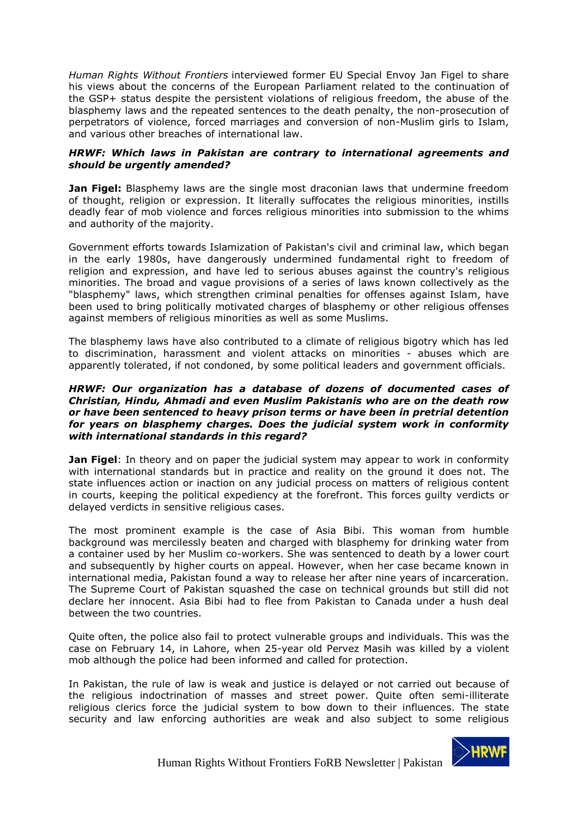*Human Rights Without Frontiers* interviewed former EU Special Envoy Jan Figel to share his views about the concerns of the European Parliament related to the continuation of the GSP+ status despite the persistent violations of religious freedom, the abuse of the blasphemy laws and the repeated sentences to the death penalty, the non-prosecution of perpetrators of violence, forced marriages and conversion of non-Muslim girls to Islam, and various other breaches of international law.

### *HRWF: Which laws in Pakistan are contrary to international agreements and should be urgently amended?*

**Jan Figel:** Blasphemy laws are the single most draconian laws that undermine freedom of thought, religion or expression. It literally suffocates the religious minorities, instills deadly fear of mob violence and forces religious minorities into submission to the whims and authority of the majority.

Government efforts towards Islamization of Pakistan's civil and criminal law, which began in the early 1980s, have dangerously undermined fundamental right to freedom of religion and expression, and have led to serious abuses against the country's religious minorities. The broad and vague provisions of a series of laws known collectively as the "blasphemy" laws, which strengthen criminal penalties for offenses against Islam, have been used to bring politically motivated charges of blasphemy or other religious offenses against members of religious minorities as well as some Muslims.

The blasphemy laws have also contributed to a climate of religious bigotry which has led to discrimination, harassment and violent attacks on minorities - abuses which are apparently tolerated, if not condoned, by some political leaders and government officials.

#### *HRWF: Our organization has a database of dozens of documented cases of Christian, Hindu, Ahmadi and even Muslim Pakistanis who are on the death row or have been sentenced to heavy prison terms or have been in pretrial detention for years on blasphemy charges. Does the judicial system work in conformity with international standards in this regard?*

**Jan Figel**: In theory and on paper the judicial system may appear to work in conformity with international standards but in practice and reality on the ground it does not. The state influences action or inaction on any judicial process on matters of religious content in courts, keeping the political expediency at the forefront. This forces guilty verdicts or delayed verdicts in sensitive religious cases.

The most prominent example is the case of Asia Bibi. This woman from humble background was mercilessly beaten and charged with blasphemy for drinking water from a container used by her Muslim co-workers. She was sentenced to death by a lower court and subsequently by higher courts on appeal. However, when her case became known in international media, Pakistan found a way to release her after nine years of incarceration. The Supreme Court of Pakistan squashed the case on technical grounds but still did not declare her innocent. Asia Bibi had to flee from Pakistan to Canada under a hush deal between the two countries.

Quite often, the police also fail to protect vulnerable groups and individuals. This was the case on February 14, in Lahore, when 25-year old Pervez Masih was killed by a violent mob although the police had been informed and called for protection.

In Pakistan, the rule of law is weak and justice is delayed or not carried out because of the religious indoctrination of masses and street power. Quite often semi-illiterate religious clerics force the judicial system to bow down to their influences. The state security and law enforcing authorities are weak and also subject to some religious

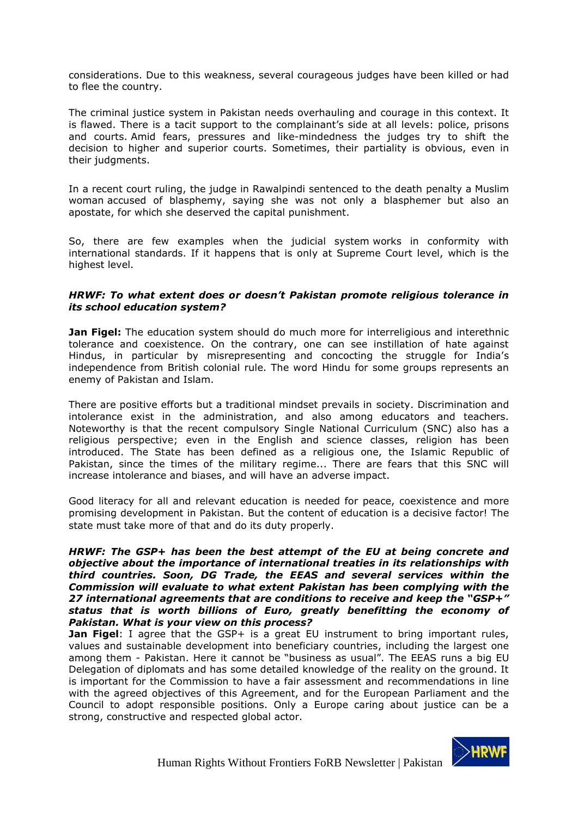considerations. Due to this weakness, several courageous judges have been killed or had to flee the country.

The criminal justice system in Pakistan needs overhauling and courage in this context. It is flawed. There is a tacit support to the complainant's side at all levels: police, prisons and courts. Amid fears, pressures and like-mindedness the judges try to shift the decision to higher and superior courts. Sometimes, their partiality is obvious, even in their judgments.

In a recent court ruling, the judge in Rawalpindi sentenced to the death penalty a Muslim woman accused of blasphemy, saying she was not only a blasphemer but also an apostate, for which she deserved the capital punishment.

So, there are few examples when the judicial system works in conformity with international standards. If it happens that is only at Supreme Court level, which is the highest level.

#### *HRWF: To what extent does or doesn't Pakistan promote religious tolerance in its school education system?*

**Jan Figel:** The education system should do much more for interreligious and interethnic tolerance and coexistence. On the contrary, one can see instillation of hate against Hindus, in particular by misrepresenting and concocting the struggle for India's independence from British colonial rule. The word Hindu for some groups represents an enemy of Pakistan and Islam.

There are positive efforts but a traditional mindset prevails in society. Discrimination and intolerance exist in the administration, and also among educators and teachers. Noteworthy is that the recent compulsory Single National Curriculum (SNC) also has a religious perspective; even in the English and science classes, religion has been introduced. The State has been defined as a religious one, the Islamic Republic of Pakistan, since the times of the military regime... There are fears that this SNC will increase intolerance and biases, and will have an adverse impact.

Good literacy for all and relevant education is needed for peace, coexistence and more promising development in Pakistan. But the content of education is a decisive factor! The state must take more of that and do its duty properly.

*HRWF: The GSP+ has been the best attempt of the EU at being concrete and objective about the importance of international treaties in its relationships with third countries. Soon, DG Trade, the EEAS and several services within the Commission will evaluate to what extent Pakistan has been complying with the 27 international agreements that are conditions to receive and keep the "GSP+" status that is worth billions of Euro, greatly benefitting the economy of Pakistan. What is your view on this process?*

**Jan Figel**: I agree that the GSP+ is a great EU instrument to bring important rules, values and sustainable development into beneficiary countries, including the largest one among them - Pakistan. Here it cannot be "business as usual". The EEAS runs a big EU Delegation of diplomats and has some detailed knowledge of the reality on the ground. It is important for the Commission to have a fair assessment and recommendations in line with the agreed objectives of this Agreement, and for the European Parliament and the Council to adopt responsible positions. Only a Europe caring about justice can be a strong, constructive and respected global actor.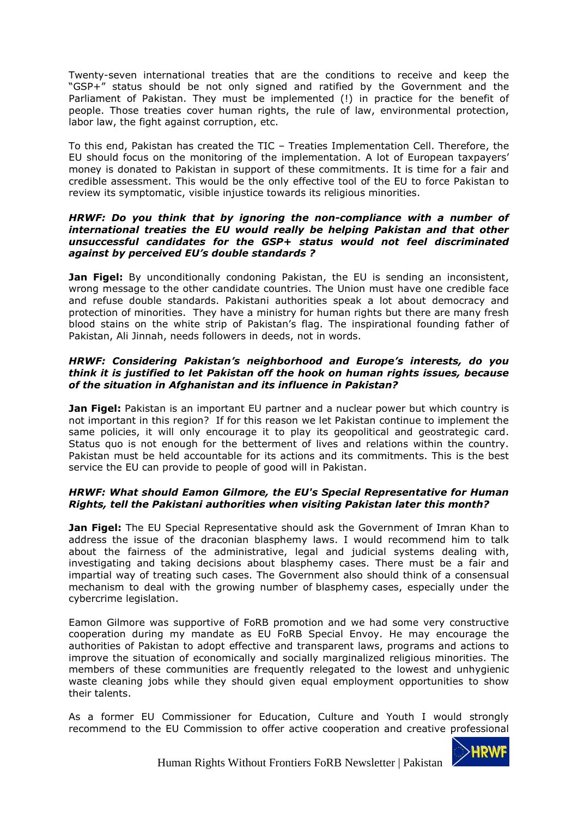Twenty-seven international treaties that are the conditions to receive and keep the "GSP+" status should be not only signed and ratified by the Government and the Parliament of Pakistan. They must be implemented (!) in practice for the benefit of people. Those treaties cover human rights, the rule of law, environmental protection, labor law, the fight against corruption, etc.

To this end, Pakistan has created the TIC – Treaties Implementation Cell. Therefore, the EU should focus on the monitoring of the implementation. A lot of European taxpayers' money is donated to Pakistan in support of these commitments. It is time for a fair and credible assessment. This would be the only effective tool of the EU to force Pakistan to review its symptomatic, visible injustice towards its religious minorities.

#### *HRWF: Do you think that by ignoring the non-compliance with a number of international treaties the EU would really be helping Pakistan and that other unsuccessful candidates for the GSP+ status would not feel discriminated against by perceived EU's double standards ?*

**Jan Figel:** By unconditionally condoning Pakistan, the EU is sending an inconsistent, wrong message to the other candidate countries. The Union must have one credible face and refuse double standards. Pakistani authorities speak a lot about democracy and protection of minorities. They have a ministry for human rights but there are many fresh blood stains on the white strip of Pakistan's flag. The inspirational founding father of Pakistan, Ali Jinnah, needs followers in deeds, not in words.

### *HRWF: Considering Pakistan's neighborhood and Europe's interests, do you think it is justified to let Pakistan off the hook on human rights issues, because of the situation in Afghanistan and its influence in Pakistan?*

**Jan Figel:** Pakistan is an important EU partner and a nuclear power but which country is not important in this region? If for this reason we let Pakistan continue to implement the same policies, it will only encourage it to play its geopolitical and geostrategic card. Status quo is not enough for the betterment of lives and relations within the country. Pakistan must be held accountable for its actions and its commitments. This is the best service the EU can provide to people of good will in Pakistan.

### *HRWF: What should Eamon Gilmore, the EU's Special Representative for Human Rights, tell the Pakistani authorities when visiting Pakistan later this month?*

**Jan Figel:** The EU Special Representative should ask the Government of Imran Khan to address the issue of the draconian blasphemy laws. I would recommend him to talk about the fairness of the administrative, legal and judicial systems dealing with, investigating and taking decisions about blasphemy cases. There must be a fair and impartial way of treating such cases. The Government also should think of a consensual mechanism to deal with the growing number of blasphemy cases, especially under the cybercrime legislation.

Eamon Gilmore was supportive of FoRB promotion and we had some very constructive cooperation during my mandate as EU FoRB Special Envoy. He may encourage the authorities of Pakistan to adopt effective and transparent laws, programs and actions to improve the situation of economically and socially marginalized religious minorities. The members of these communities are frequently relegated to the lowest and unhygienic waste cleaning jobs while they should given equal employment opportunities to show their talents.

As a former EU Commissioner for Education, Culture and Youth I would strongly recommend to the EU Commission to offer active cooperation and creative professional

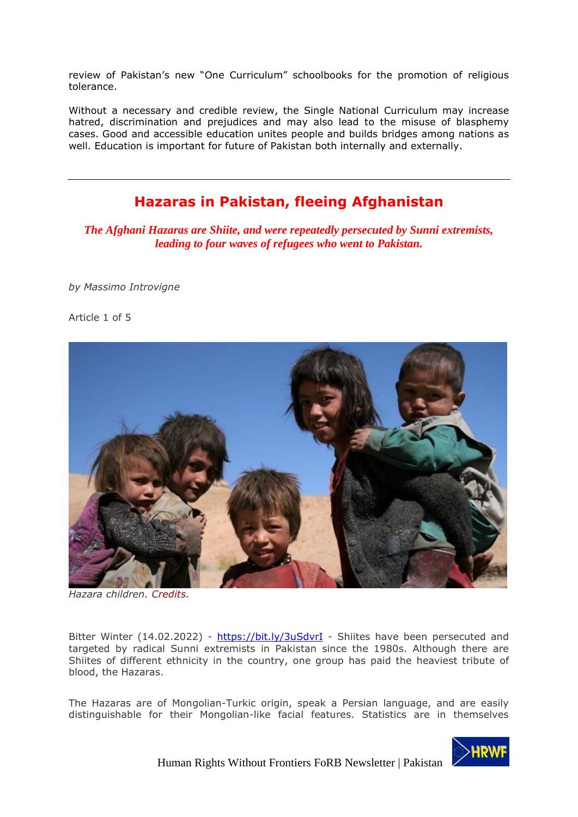review of Pakistan's new "One Curriculum" schoolbooks for the promotion of religious tolerance.

Without a necessary and credible review, the Single National Curriculum may increase hatred, discrimination and prejudices and may also lead to the misuse of blasphemy cases. Good and accessible education unites people and builds bridges among nations as well. Education is important for future of Pakistan both internally and externally.

## **Hazaras in Pakistan, fleeing Afghanistan**

<span id="page-16-0"></span>*The Afghani Hazaras are Shiite, and were repeatedly persecuted by Sunni extremists, leading to four waves of refugees who went to Pakistan.*

*by Massimo Introvigne*

Article 1 of 5



*Hazara children. [Credits.](https://commons.wikimedia.org/wiki/File:Hazara_children_in_central_Afghanistan.jpg)*

Bitter Winter (14.02.2022) - <https://bit.ly/3uSdvrI> - Shiites have been persecuted and targeted by radical Sunni extremists in Pakistan since the 1980s. Although there are Shiites of different ethnicity in the country, one group has paid the heaviest tribute of blood, the Hazaras.

The Hazaras are of Mongolian-Turkic origin, speak a Persian language, and are easily distinguishable for their Mongolian-like facial features. Statistics are in themselves

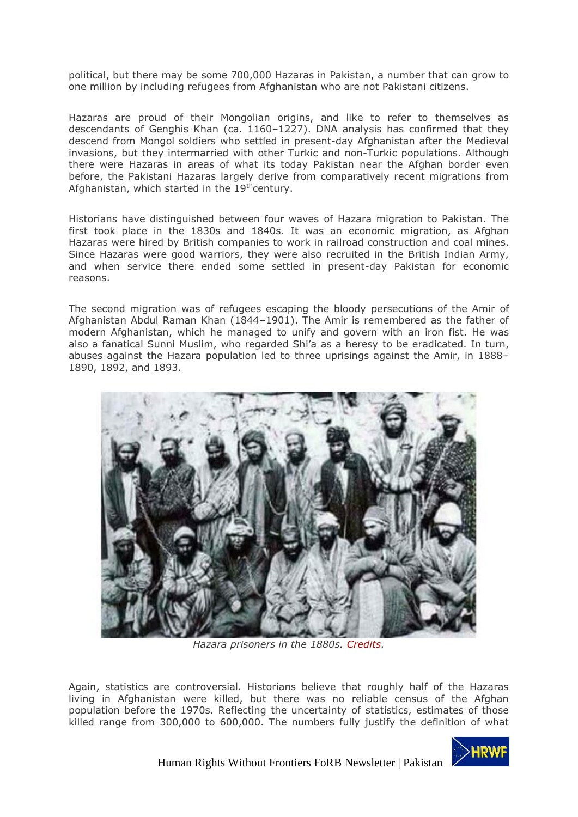political, but there may be some 700,000 Hazaras in Pakistan, a number that can grow to one million by including refugees from Afghanistan who are not Pakistani citizens.

Hazaras are proud of their Mongolian origins, and like to refer to themselves as descendants of Genghis Khan (ca. 1160–1227). DNA analysis has confirmed that they descend from Mongol soldiers who settled in present-day Afghanistan after the Medieval invasions, but they intermarried with other Turkic and non-Turkic populations. Although there were Hazaras in areas of what its today Pakistan near the Afghan border even before, the Pakistani Hazaras largely derive from comparatively recent migrations from Afghanistan, which started in the 19<sup>th</sup>century.

Historians have distinguished between four waves of Hazara migration to Pakistan. The first took place in the 1830s and 1840s. It was an economic migration, as Afghan Hazaras were hired by British companies to work in railroad construction and coal mines. Since Hazaras were good warriors, they were also recruited in the British Indian Army, and when service there ended some settled in present-day Pakistan for economic reasons.

The second migration was of refugees escaping the bloody persecutions of the Amir of Afghanistan Abdul Raman Khan (1844–1901). The Amir is remembered as the father of modern Afghanistan, which he managed to unify and govern with an iron fist. He was also a fanatical Sunni Muslim, who regarded Shi'a as a heresy to be eradicated. In turn, abuses against the Hazara population led to three uprisings against the Amir, in 1888– 1890, 1892, and 1893.



*Hazara prisoners in the 1880s. [Credits.](https://commons.wikimedia.org/wiki/File:Hazara_Prisoners-1881-Qandahar.jpg)*

Again, statistics are controversial. Historians believe that roughly half of the Hazaras living in Afghanistan were killed, but there was no reliable census of the Afghan population before the 1970s. Reflecting the uncertainty of statistics, estimates of those killed range from 300,000 to 600,000. The numbers fully justify the definition of what

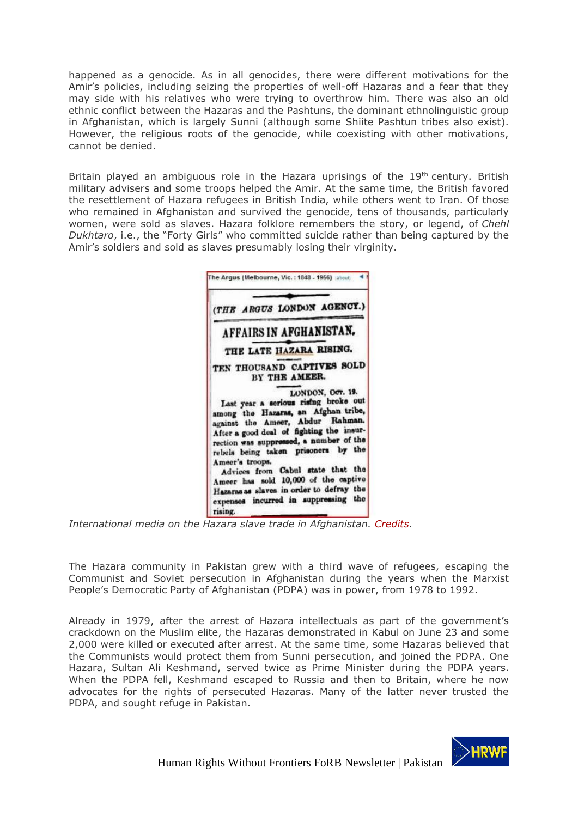happened as a genocide. As in all genocides, there were different motivations for the Amir's policies, including seizing the properties of well-off Hazaras and a fear that they may side with his relatives who were trying to overthrow him. There was also an old ethnic conflict between the Hazaras and the Pashtuns, the dominant ethnolinguistic group in Afghanistan, which is largely Sunni (although some Shiite Pashtun tribes also exist). However, the religious roots of the genocide, while coexisting with other motivations, cannot be denied.

Britain played an ambiguous role in the Hazara uprisings of the 19<sup>th</sup> century. British military advisers and some troops helped the Amir. At the same time, the British favored the resettlement of Hazara refugees in British India, while others went to Iran. Of those who remained in Afghanistan and survived the genocide, tens of thousands, particularly women, were sold as slaves. Hazara folklore remembers the story, or legend, of *Chehl Dukhtaro*, i.e., the "Forty Girls" who committed suicide rather than being captured by the Amir's soldiers and sold as slaves presumably losing their virginity.



*International media on the Hazara slave trade in Afghanistan. [Credits.](https://commons.wikimedia.org/wiki/File:The-Argus-10000-Hazara-slaves-Fri-20-Oct-1893-Pg5.jpg)*

The Hazara community in Pakistan grew with a third wave of refugees, escaping the Communist and Soviet persecution in Afghanistan during the years when the Marxist People's Democratic Party of Afghanistan (PDPA) was in power, from 1978 to 1992.

Already in 1979, after the arrest of Hazara intellectuals as part of the government's crackdown on the Muslim elite, the Hazaras demonstrated in Kabul on June 23 and some 2,000 were killed or executed after arrest. At the same time, some Hazaras believed that the Communists would protect them from Sunni persecution, and joined the PDPA. One Hazara, Sultan Ali Keshmand, served twice as Prime Minister during the PDPA years. When the PDPA fell, Keshmand escaped to Russia and then to Britain, where he now advocates for the rights of persecuted Hazaras. Many of the latter never trusted the PDPA, and sought refuge in Pakistan.

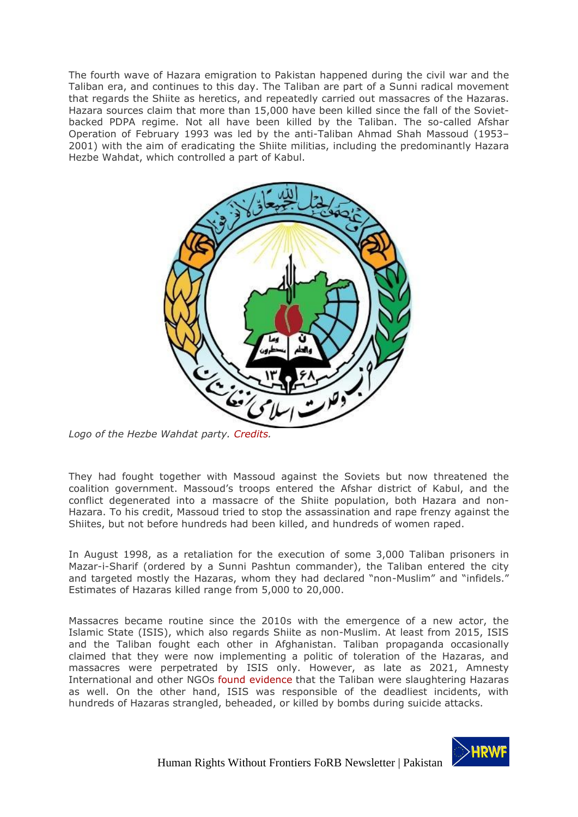The fourth wave of Hazara emigration to Pakistan happened during the civil war and the Taliban era, and continues to this day. The Taliban are part of a Sunni radical movement that regards the Shiite as heretics, and repeatedly carried out massacres of the Hazaras. Hazara sources claim that more than 15,000 have been killed since the fall of the Sovietbacked PDPA regime. Not all have been killed by the Taliban. The so-called Afshar Operation of February 1993 was led by the anti-Taliban Ahmad Shah Massoud (1953– 2001) with the aim of eradicating the Shiite militias, including the predominantly Hazara Hezbe Wahdat, which controlled a part of Kabul.



*Logo of the Hezbe Wahdat party. [Credits.](https://commons.wikimedia.org/wiki/File:Emblem_of_Hezbe_Wahdat.svg)*

They had fought together with Massoud against the Soviets but now threatened the coalition government. Massoud's troops entered the Afshar district of Kabul, and the conflict degenerated into a massacre of the Shiite population, both Hazara and non-Hazara. To his credit, Massoud tried to stop the assassination and rape frenzy against the Shiites, but not before hundreds had been killed, and hundreds of women raped.

In August 1998, as a retaliation for the execution of some 3,000 Taliban prisoners in Mazar-i-Sharif (ordered by a Sunni Pashtun commander), the Taliban entered the city and targeted mostly the Hazaras, whom they had declared "non-Muslim" and "infidels." Estimates of Hazaras killed range from 5,000 to 20,000.

Massacres became routine since the 2010s with the emergence of a new actor, the Islamic State (ISIS), which also regards Shiite as non-Muslim. At least from 2015, ISIS and the Taliban fought each other in Afghanistan. Taliban propaganda occasionally claimed that they were now implementing a politic of toleration of the Hazaras, and massacres were perpetrated by ISIS only. However, as late as 2021, Amnesty International and other NGOs [found evidence](https://www.amnesty.org/en/latest/news/2021/08/afghanistan-taliban-responsible-for-brutal-massacre-of-hazara-men-new-investigation/) that the Taliban were slaughtering Hazaras as well. On the other hand, ISIS was responsible of the deadliest incidents, with hundreds of Hazaras strangled, beheaded, or killed by bombs during suicide attacks.

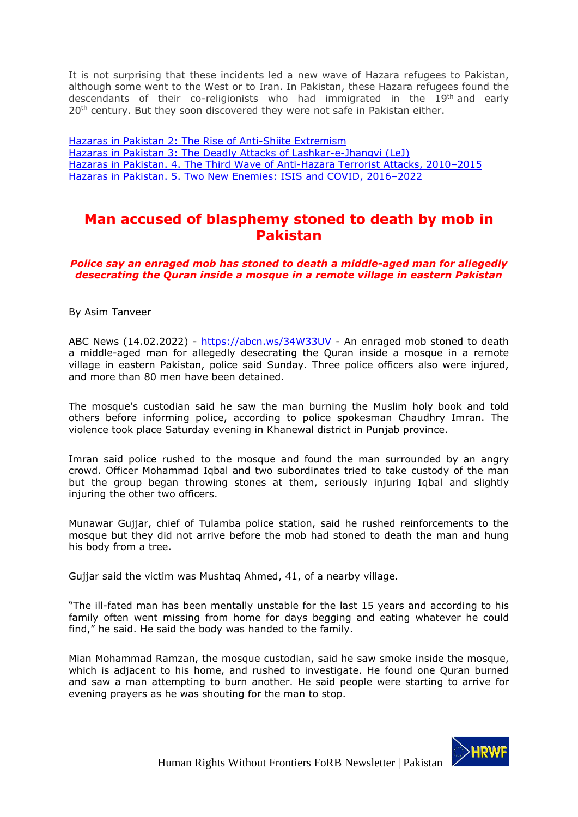It is not surprising that these incidents led a new wave of Hazara refugees to Pakistan, although some went to the West or to Iran. In Pakistan, these Hazara refugees found the descendants of their co-religionists who had immigrated in the 19<sup>th</sup> and early 20<sup>th</sup> century. But they soon discovered they were not safe in Pakistan either.

[Hazaras in Pakistan 2: The Rise of Anti-Shiite](https://bitterwinter.org/hazaras-in-pakistan-2-anti-shiite-extremism/) Extremism Hazaras in Pakistan 3: The Deadly [Attacks of Lashkar-e-Jhangvi](https://bitterwinter.org/hazaras-in-pakistan-3-lashkar-e-jhangvi-lej/) (LeJ) [Hazaras in Pakistan. 4. The Third Wave](https://bitterwinter.org/4-anti-hazara-terrorist-attacks-2010-2015/) of Anti-Hazara Terrorist Attacks, 2010–2015 [Hazaras in Pakistan. 5. Two New Enemies: ISIS and COVID, 2016](https://bitterwinter.org/hazaras-in-pakistan-two-new-enemies-isis-and-covid-2016-2022/)–2022

## <span id="page-20-0"></span>**Man accused of blasphemy stoned to death by mob in Pakistan**

*Police say an enraged mob has stoned to death a middle-aged man for allegedly desecrating the Quran inside a mosque in a remote village in eastern Pakistan*

By Asim Tanveer

ABC News (14.02.2022) - <https://abcn.ws/34W33UV> - An enraged mob stoned to death a middle-aged man for allegedly desecrating the Quran inside a mosque in a remote village in eastern Pakistan, police said Sunday. Three police officers also were injured, and more than 80 men have been detained.

The mosque's custodian said he saw the man burning the Muslim holy book and told others before informing police, according to police spokesman Chaudhry Imran. The violence took place Saturday evening in Khanewal district in Punjab province.

Imran said police rushed to the mosque and found the man surrounded by an angry crowd. Officer Mohammad Iqbal and two subordinates tried to take custody of the man but the group began throwing stones at them, seriously injuring Iqbal and slightly injuring the other two officers.

Munawar Gujjar, chief of Tulamba police station, said he rushed reinforcements to the mosque but they did not arrive before the mob had stoned to death the man and hung his body from a tree.

Gujjar said the victim was Mushtaq Ahmed, 41, of a nearby village.

"The ill-fated man has been mentally unstable for the last 15 years and according to his family often went missing from home for days begging and eating whatever he could find," he said. He said the body was handed to the family.

Mian Mohammad Ramzan, the mosque custodian, said he saw smoke inside the mosque, which is adjacent to his home, and rushed to investigate. He found one Quran burned and saw a man attempting to burn another. He said people were starting to arrive for evening prayers as he was shouting for the man to stop.

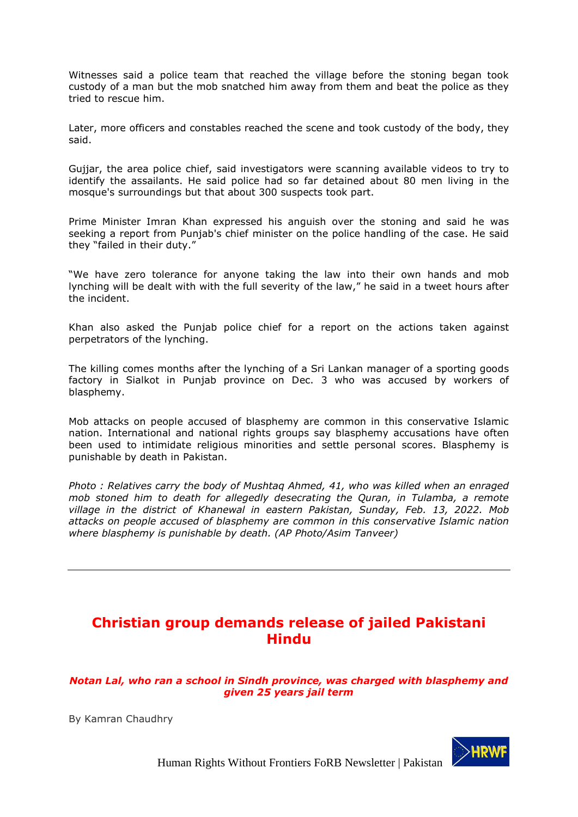Witnesses said a police team that reached the village before the stoning began took custody of a man but the mob snatched him away from them and beat the police as they tried to rescue him.

Later, more officers and constables reached the scene and took custody of the body, they said.

Gujjar, the area police chief, said investigators were scanning available videos to try to identify the assailants. He said police had so far detained about 80 men living in the mosque's surroundings but that about 300 suspects took part.

Prime Minister Imran Khan expressed his anguish over the stoning and said he was seeking a report from Punjab's chief minister on the police handling of the case. He said they "failed in their duty."

"We have zero tolerance for anyone taking the law into their own hands and mob lynching will be dealt with with the full severity of the law," he said in a tweet hours after the incident.

Khan also asked the Punjab police chief for a report on the actions taken against perpetrators of the lynching.

The killing comes months after the lynching of a Sri Lankan manager of a sporting goods factory in Sialkot in Punjab province on Dec. 3 who was accused by workers of blasphemy.

Mob attacks on people accused of blasphemy are common in this conservative Islamic nation. International and national rights groups say blasphemy accusations have often been used to intimidate religious minorities and settle personal scores. Blasphemy is punishable by death in Pakistan.

*Photo : Relatives carry the body of Mushtaq Ahmed, 41, who was killed when an enraged mob stoned him to death for allegedly desecrating the Quran, in Tulamba, a remote village in the district of Khanewal in eastern Pakistan, Sunday, Feb. 13, 2022. Mob attacks on people accused of blasphemy are common in this conservative Islamic nation where blasphemy is punishable by death. (AP Photo/Asim Tanveer)*

## <span id="page-21-0"></span>**Christian group demands release of jailed Pakistani Hindu**

*Notan Lal, who ran a school in Sindh province, was charged with blasphemy and given 25 years jail term*

By Kamran Chaudhry

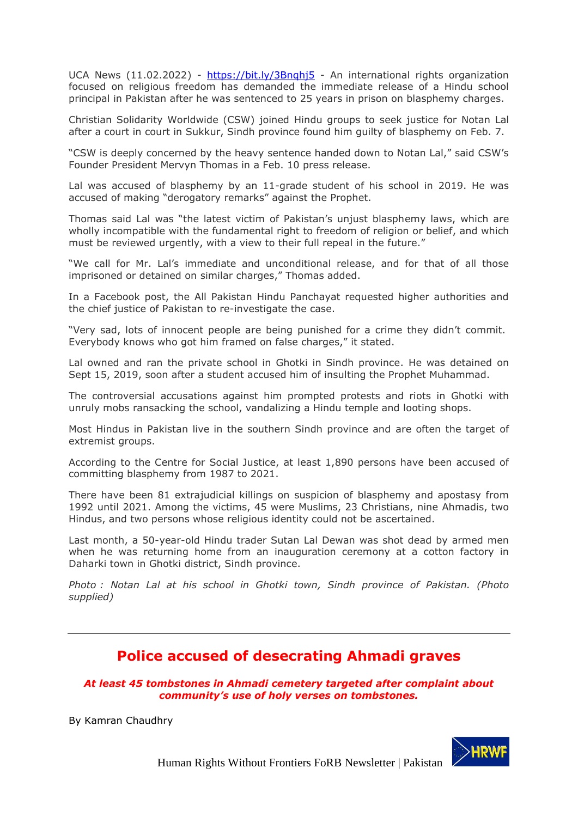UCA News (11.02.2022) - https://bit.ly/3Bnghi5 - An international rights organization focused on religious freedom has demanded the immediate release of a Hindu school principal in Pakistan after he was sentenced to 25 years in prison on blasphemy charges.

Christian Solidarity Worldwide (CSW) joined Hindu groups to seek justice for Notan Lal after a court in court in Sukkur, Sindh province found him guilty of blasphemy on Feb. 7.

"CSW is deeply concerned by the heavy sentence handed down to Notan Lal," said CSW's Founder President Mervyn Thomas in a Feb. 10 press release.

Lal was accused of blasphemy by an 11-grade student of his school in 2019. He was accused of making "derogatory remarks" against the Prophet.

Thomas said Lal was "the latest victim of Pakistan's unjust blasphemy laws, which are wholly incompatible with the fundamental right to freedom of religion or belief, and which must be reviewed urgently, with a view to their full repeal in the future."

"We call for Mr. Lal's immediate and unconditional release, and for that of all those imprisoned or detained on similar charges," Thomas added.

In a Facebook post, the All Pakistan Hindu Panchayat requested higher authorities and the chief justice of Pakistan to re-investigate the case.

"Very sad, lots of innocent people are being punished for a crime they didn't commit. Everybody knows who got him framed on false charges," it stated.

Lal owned and ran the private school in Ghotki in Sindh province. He was detained on Sept 15, 2019, soon after a student accused him of insulting the Prophet Muhammad.

The controversial accusations against him prompted protests and riots in Ghotki with unruly mobs ransacking the school, vandalizing a Hindu temple and looting shops.

Most Hindus in Pakistan live in the southern Sindh province and are often the target of extremist groups.

According to the Centre for Social Justice, at least 1,890 persons have been accused of committing blasphemy from 1987 to 2021.

There have been 81 extrajudicial killings on suspicion of blasphemy and apostasy from 1992 until 2021. Among the victims, 45 were Muslims, 23 Christians, nine Ahmadis, two Hindus, and two persons whose religious identity could not be ascertained.

Last month, a 50-year-old Hindu trader Sutan Lal Dewan was shot dead by armed men when he was returning home from an inauguration ceremony at a cotton factory in Daharki town in Ghotki district, Sindh province.

*Photo : Notan Lal at his school in Ghotki town, Sindh province of Pakistan. (Photo supplied)*

## **Police accused of desecrating Ahmadi graves**

<span id="page-22-0"></span>*At least 45 tombstones in Ahmadi cemetery targeted after complaint about community's use of holy verses on tombstones.*

By Kamran Chaudhry

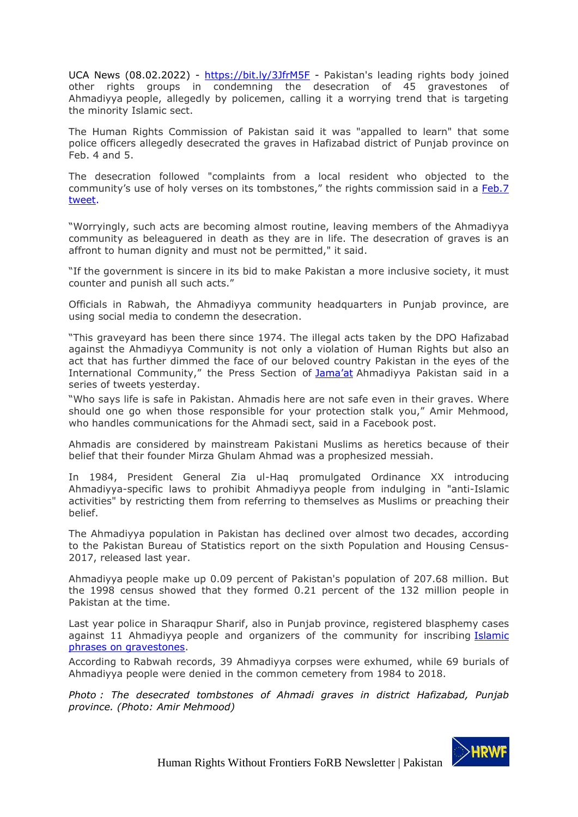UCA News (08.02.2022) - <https://bit.ly/3JfrM5F> - Pakistan's leading rights body joined other rights groups in condemning the desecration of 45 gravestones of Ahmadiyya people, allegedly by policemen, calling it a worrying trend that is targeting the minority Islamic sect.

The Human Rights Commission of Pakistan said it was "appalled to learn" that some police officers allegedly desecrated the graves in Hafizabad district of Punjab province on Feb. 4 and 5.

The desecration followed "complaints from a local resident who objected to the community's use of holy verses on its tombstones," the rights commission said in a [Feb.7](https://twitter.com/HRCP87/status/1490605450060083201/photo/1) [tweet.](https://twitter.com/HRCP87/status/1490605450060083201/photo/1)

"Worryingly, such acts are becoming almost routine, leaving members of the Ahmadiyya community as beleaguered in death as they are in life. The desecration of graves is an affront to human dignity and must not be permitted," it said.

"If the government is sincere in its bid to make Pakistan a more inclusive society, it must counter and punish all such acts."

Officials in Rabwah, the Ahmadiyya community headquarters in Punjab province, are using social media to condemn the desecration.

"This graveyard has been there since 1974. The illegal acts taken by the DPO Hafizabad against the Ahmadiyya Community is not only a violation of Human Rights but also an act that has further dimmed the face of our beloved country Pakistan in the eyes of the International Community," the Press Section of [Jama'](https://twitter.com/PressSectionSAA/status/1490265236846305283)at Ahmadiyya Pakistan said in a series of tweets yesterday.

"Who says life is safe in Pakistan. Ahmadis here are not safe even in their graves. Where should one go when those responsible for your protection stalk you," Amir Mehmood, who handles communications for the Ahmadi sect, said in a Facebook post.

Ahmadis are considered by mainstream Pakistani Muslims as heretics because of their belief that their founder Mirza Ghulam Ahmad was a prophesized messiah.

In 1984, President General Zia ul-Haq promulgated Ordinance XX introducing Ahmadiyya-specific laws to prohibit Ahmadiyya people from indulging in "anti-Islamic activities" by restricting them from referring to themselves as Muslims or preaching their belief.

The Ahmadiyya population in Pakistan has declined over almost two decades, according to the Pakistan Bureau of Statistics report on the sixth Population and Housing Census-2017, released last year.

Ahmadiyya people make up 0.09 percent of Pakistan's population of 207.68 million. But the 1998 census showed that they formed 0.21 percent of the 132 million people in Pakistan at the time.

Last year police in Sharaqpur Sharif, also in Punjab province, registered blasphemy cases against 11 Ahmadiyya people and organizers of the community for inscribing [Islamic](https://www.ucanews.com/news/pakistani-ahmadis-accused-of-blasphemy-over-islamic-tombstones/91040) phrases on [gravestones.](https://www.ucanews.com/news/pakistani-ahmadis-accused-of-blasphemy-over-islamic-tombstones/91040)

According to Rabwah records, 39 Ahmadiyya corpses were exhumed, while 69 burials of Ahmadiyya people were denied in the common cemetery from 1984 to 2018.

*Photo : The desecrated tombstones of Ahmadi graves in district Hafizabad, Punjab province. (Photo: Amir Mehmood)*

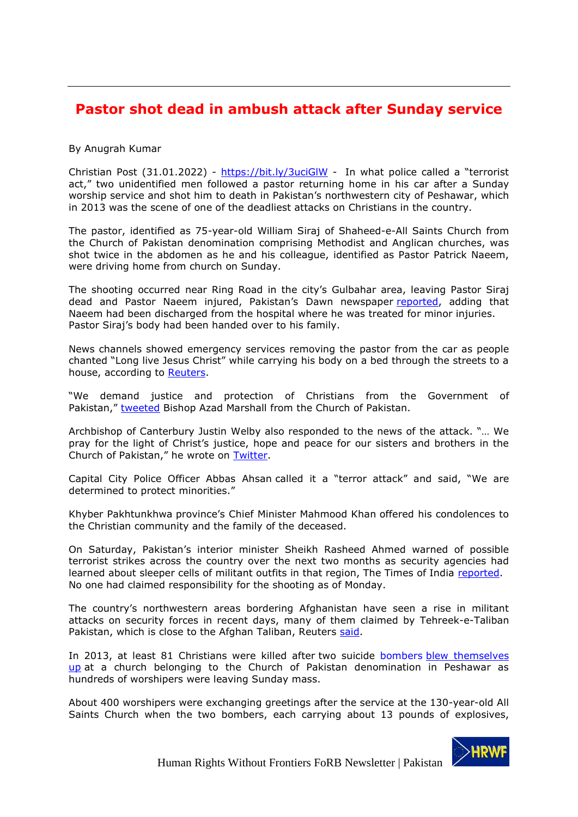# <span id="page-24-0"></span>**Pastor shot dead in ambush attack after Sunday service**

### By Anugrah Kumar

Christian Post (31.01.2022) - <https://bit.ly/3uciGlW> - In what police called a "terrorist act," two unidentified men followed a pastor returning home in his car after a Sunday worship service and shot him to death in Pakistan's northwestern city of Peshawar, which in 2013 was the scene of one of the deadliest attacks on Christians in the country.

The pastor, identified as 75-year-old William Siraj of Shaheed-e-All Saints Church from the Church of Pakistan denomination comprising Methodist and Anglican churches, was shot twice in the abdomen as he and his colleague, identified as Pastor Patrick Naeem, were driving home from church on Sunday.

The shooting occurred near Ring Road in the city's Gulbahar area, leaving Pastor Siraj dead and Pastor Naeem injured, Pakistan's Dawn newspaper [reported,](https://www.dawn.com/news/1672319/priest-shot-dead-another-injured-in-peshawar) adding that Naeem had been discharged from the hospital where he was treated for minor injuries. Pastor Siraj's body had been handed over to his family.

News channels showed emergency services removing the pastor from the car as people chanted "Long live Jesus Christ" while carrying his body on a bed through the streets to a house, according to [Reuters.](https://www.reuters.com/world/asia-pacific/priest-shot-dead-northwest-pakistan-ambush-2022-01-30/)

"We demand justice and protection of Christians from the Government of Pakistan," [tweeted](https://twitter.com/BishopAzadM/status/1487765028359000064?cxt=HHwWgMCyiaWazaUpAAAA) Bishop Azad Marshall from the Church of Pakistan.

Archbishop of Canterbury Justin Welby also responded to the news of the attack. "… We pray for the light of Christ's justice, hope and peace for our sisters and brothers in the Church of Pakistan," he wrote on [Twitter.](https://twitter.com/JustinWelby/status/1487890443786412037?cxt=HHwWioCz6baehqYpAAAA)

Capital City Police Officer Abbas Ahsan called it a "terror attack" and said, "We are determined to protect minorities."

Khyber Pakhtunkhwa province's Chief Minister Mahmood Khan offered his condolences to the Christian community and the family of the deceased.

On Saturday, Pakistan's interior minister Sheikh Rasheed Ahmed warned of possible terrorist strikes across the country over the next two months as security agencies had learned about sleeper cells of militant outfits in that region, The Times of India [reported.](https://timesofindia.indiatimes.com/world/pakistan/pastor-shot-dead-fellow-priest-hurt-in-pakistan-terror-attack/articleshow/89230005.cms) No one had claimed responsibility for the shooting as of Monday.

The country's northwestern areas bordering Afghanistan have seen a rise in militant attacks on security forces in recent days, many of them claimed by Tehreek-e-Taliban Pakistan, which is close to the Afghan Taliban, Reuters [said.](https://www.reuters.com/world/asia-pacific/priest-shot-dead-northwest-pakistan-ambush-2022-01-30/)

In 2013, at least 81 Christians were killed after two suicide bombers [blew themselves](https://www.christianpost.com/news/81-christians-killed-in-pakistans-deadliest-ever-church-attack.html)  [up](https://www.christianpost.com/news/81-christians-killed-in-pakistans-deadliest-ever-church-attack.html) at a church belonging to the Church of Pakistan denomination in Peshawar as hundreds of worshipers were leaving Sunday mass.

About 400 worshipers were exchanging greetings after the service at the 130-year-old All Saints Church when the two bombers, each carrying about 13 pounds of explosives,

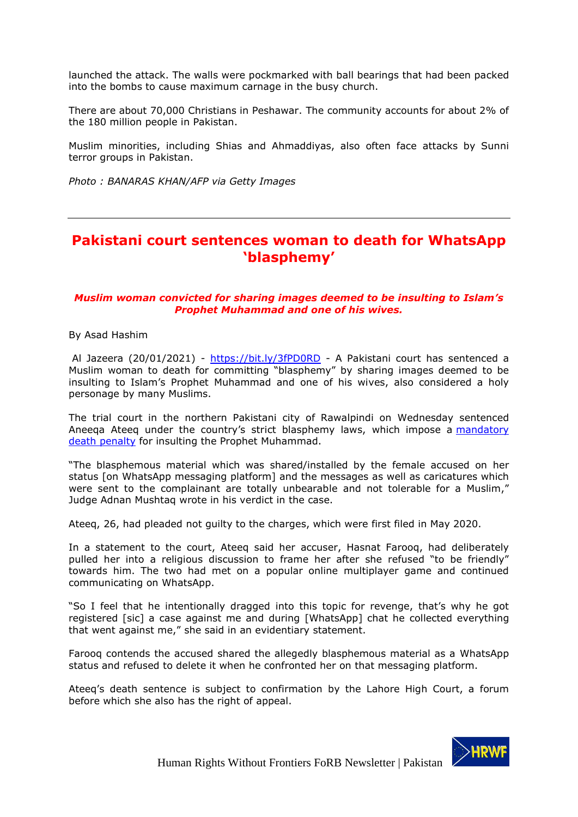launched the attack. The walls were pockmarked with ball bearings that had been packed into the bombs to cause maximum carnage in the busy church.

There are about 70,000 Christians in Peshawar. The community accounts for about 2% of the 180 million people in Pakistan.

Muslim minorities, including Shias and Ahmaddiyas, also often face attacks by Sunni terror groups in Pakistan.

*Photo : BANARAS KHAN/AFP via Getty Images*

### <span id="page-25-0"></span>**Pakistani court sentences woman to death for WhatsApp 'blasphemy'**

### *Muslim woman convicted for sharing images deemed to be insulting to Islam's Prophet Muhammad and one of his wives.*

By Asad Hashim

Al Jazeera (20/01/2021) - <https://bit.ly/3fPD0RD> - A Pakistani court has sentenced a Muslim woman to death for committing "blasphemy" by sharing images deemed to be insulting to Islam's Prophet Muhammad and one of his wives, also considered a holy personage by many Muslims.

The trial court in the northern Pakistani city of Rawalpindi on Wednesday sentenced Aneeqa Ateeq under the country's strict blasphemy laws, which impose a mandatory [death penalty](https://www.aljazeera.com/news/2020/9/21/explained-pakistans-emotive-blasphemy-laws) for insulting the Prophet Muhammad.

"The blasphemous material which was shared/installed by the female accused on her status [on WhatsApp messaging platform] and the messages as well as caricatures which were sent to the complainant are totally unbearable and not tolerable for a Muslim," Judge Adnan Mushtaq wrote in his verdict in the case.

Ateeq, 26, had pleaded not guilty to the charges, which were first filed in May 2020.

In a statement to the court, Ateeq said her accuser, Hasnat Farooq, had deliberately pulled her into a religious discussion to frame her after she refused "to be friendly" towards him. The two had met on a popular online multiplayer game and continued communicating on WhatsApp.

"So I feel that he intentionally dragged into this topic for revenge, that's why he got registered [sic] a case against me and during [WhatsApp] chat he collected everything that went against me," she said in an evidentiary statement.

Farooq contends the accused shared the allegedly blasphemous material as a WhatsApp status and refused to delete it when he confronted her on that messaging platform.

Ateeq's death sentence is subject to confirmation by the Lahore High Court, a forum before which she also has the right of appeal.

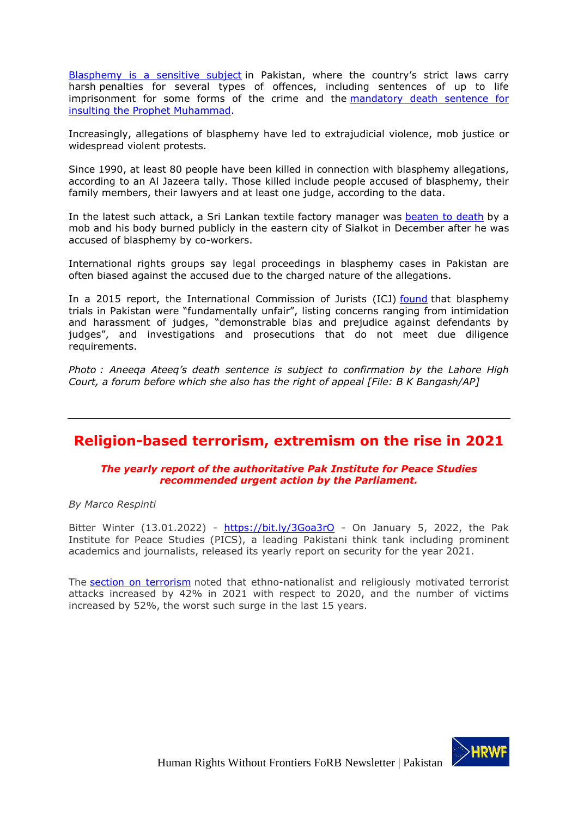[Blasphemy is a sensitive subject](https://www.aljazeera.com/news/2021/11/25/pakistan-arrest-blasphemy-mosque-argument-christian) in Pakistan, where the country's strict laws carry harsh penalties for several types of offences, including sentences of up to life imprisonment for some forms of the crime and the mandatory death sentence for [insulting the Prophet Muhammad.](https://www.aljazeera.com/news/2021/1/8/pakistan-court-sentences-three-to-death-for-blasphemy)

Increasingly, allegations of blasphemy have led to extrajudicial violence, mob justice or widespread violent protests.

Since 1990, at least 80 people have been killed in connection with blasphemy allegations, according to an Al Jazeera tally. Those killed include people accused of blasphemy, their family members, their lawyers and at least one judge, according to the data.

In the latest such attack, a Sri Lankan textile factory manager was [beaten to](https://www.aljazeera.com/news/2021/12/3/sri-lankan-factory-manager-lynched-and-set-on-fire-in-pakistan) death by a mob and his body burned publicly in the eastern city of Sialkot in December after he was accused of blasphemy by co-workers.

International rights groups say legal proceedings in blasphemy cases in Pakistan are often biased against the accused due to the charged nature of the allegations.

In a 2015 report, the International Commission of Jurists (ICJ) [found](https://www.icj.org/pakistan-trials-for-blasphemy-fundamentally-unfair-icj-new-report/) that blasphemy trials in Pakistan were "fundamentally unfair", listing concerns ranging from intimidation and harassment of judges, "demonstrable bias and prejudice against defendants by judges", and investigations and prosecutions that do not meet due diligence requirements.

*Photo : Aneeqa Ateeq's death sentence is subject to confirmation by the Lahore High Court, a forum before which she also has the right of appeal [File: B K Bangash/AP]*

### <span id="page-26-0"></span>**Religion-based terrorism, extremism on the rise in 2021**

### *The yearly report of the authoritative Pak Institute for Peace Studies recommended urgent action by the Parliament.*

*By Marco Respinti*

Bitter Winter (13.01.2022) - <https://bit.ly/3Goa3rO> - On January 5, 2022, the Pak Institute for Peace Studies (PICS), a leading Pakistani think tank including prominent academics and journalists, released its yearly report on security for the year 2021.

The [section on terrorism](https://www.pakpips.com/web/wp-content/uploads/2022/01/Overview_PIPS-SR_2021.pdf) noted that ethno-nationalist and religiously motivated terrorist attacks increased by 42% in 2021 with respect to 2020, and the number of victims increased by 52%, the worst such surge in the last 15 years.

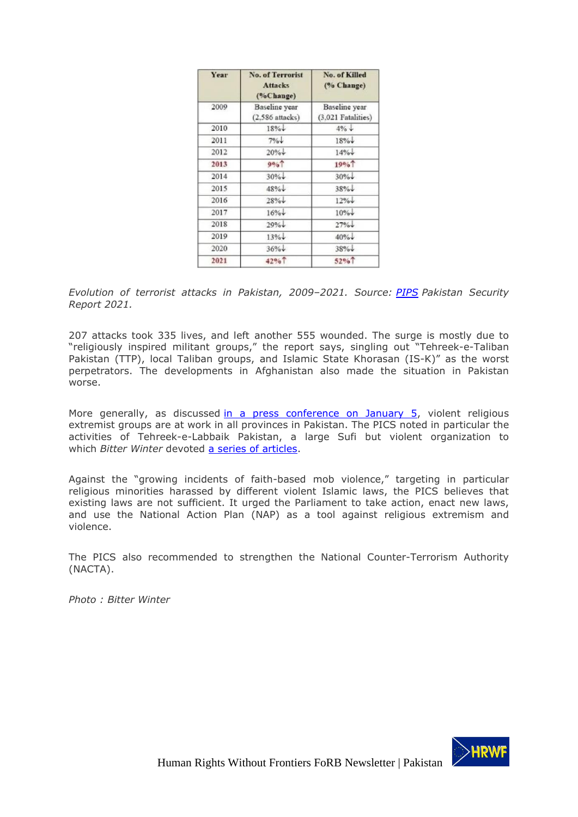| Year | <b>No. of Terrorist</b><br><b>Attacks</b><br>(%Change) | No. of Killed<br>(% Change) |
|------|--------------------------------------------------------|-----------------------------|
| 2009 | <b>Baseline</b> year                                   | Baseline year               |
|      | $(2,586$ attacks)                                      | $(3.021$ Fatalities)        |
| 2010 | $18\%$                                                 | $4\% +$                     |
| 2011 | 7%                                                     | $18\%$                      |
| 2012 | $20\%$                                                 | $14\%$                      |
| 2013 | 9%                                                     | 19%                         |
| 2014 | $30\%$                                                 | $30\%$                      |
| 2015 | $48\%$                                                 | $38\%$                      |
| 2016 | $28% +$                                                | $12% +$                     |
| 2017 | $16% +$                                                | $10\%$                      |
| 2018 | $29% +$                                                | 27%                         |
| 2019 | 13%                                                    | $40% +$                     |
| 2020 | $36% +$                                                | $38% +$                     |
| 2021 | 42% <sup>1</sup>                                       | 52%                         |

*Evolution of terrorist attacks in Pakistan, 2009–2021. Source: [PIPS](https://www.pakpips.com/) Pakistan Security Report 2021.*

207 attacks took 335 lives, and left another 555 wounded. The surge is mostly due to "religiously inspired militant groups," the report says, singling out "Tehreek-e-Taliban Pakistan (TTP), local Taliban groups, and Islamic State Khorasan (IS-K)" as the worst perpetrators. The developments in Afghanistan also made the situation in Pakistan worse.

More generally, as discussed [in a press conference on January 5,](https://www.dawn.com/news/1667655/parliament-urged-to-take-lead-in-fight-against-extremism) violent religious extremist groups are at work in all provinces in Pakistan. The PICS noted in particular the activities of Tehreek-e-Labbaik Pakistan, a large Sufi but violent organization to which *Bitter Winter* devoted [a series of articles.](https://bitterwinter.org/tag/tehreek-e-labbaik/)

Against the "growing incidents of faith-based mob violence," targeting in particular religious minorities harassed by different violent Islamic laws, the PICS believes that existing laws are not sufficient. It urged the Parliament to take action, enact new laws, and use the National Action Plan (NAP) as a tool against religious extremism and violence.

The PICS also recommended to strengthen the National Counter-Terrorism Authority (NACTA).

*Photo : Bitter Winter*

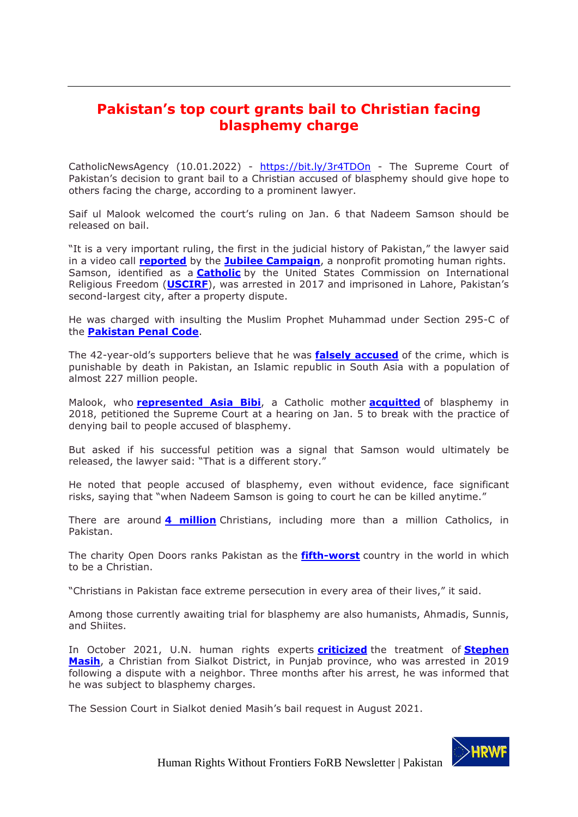## <span id="page-28-0"></span>**Pakistan's top court grants bail to Christian facing blasphemy charge**

CatholicNewsAgency (10.01.2022) - https://bit.ly/3r4TDOn - The Supreme Court of Pakistan's decision to grant bail to a Christian accused of blasphemy should give hope to others facing the charge, according to a prominent lawyer.

Saif ul Malook welcomed the court's ruling on Jan. 6 that Nadeem Samson should be released on bail.

"It is a very important ruling, the first in the judicial history of Pakistan," the lawyer said in a video call **reported** by the **Jubilee Campaign**, a nonprofit promoting human rights. Samson, identified as a **Catholic** by the United States Commission on International Religious Freedom (**USCIRF**), was arrested in 2017 and imprisoned in Lahore, Pakistan's second-largest city, after a property dispute.

He was charged with insulting the Muslim Prophet Muhammad under Section 295-C of the **Pakistan Penal Code**.

The 42-year-old's supporters believe that he was **falsely accused** of the crime, which is punishable by death in Pakistan, an Islamic republic in South Asia with a population of almost 227 million people.

Malook, who **represented Asia Bibi**, a Catholic mother **acquitted** of blasphemy in 2018, petitioned the Supreme Court at a hearing on Jan. 5 to break with the practice of denying bail to people accused of blasphemy.

But asked if his successful petition was a signal that Samson would ultimately be released, the lawyer said: "That is a different story."

He noted that people accused of blasphemy, even without evidence, face significant risks, saying that "when Nadeem Samson is going to court he can be killed anytime."

There are around **4 million** Christians, including more than a million Catholics, in Pakistan.

The charity Open Doors ranks Pakistan as the **fifth-worst** country in the world in which to be a Christian.

"Christians in Pakistan face extreme persecution in every area of their lives," it said.

Among those currently awaiting trial for blasphemy are also humanists, Ahmadis, Sunnis, and Shiites.

In October 2021, U.N. human rights experts **criticized** the treatment of **Stephen Masih**, a Christian from Sialkot District, in Punjab province, who was arrested in 2019 following a dispute with a neighbor. Three months after his arrest, he was informed that he was subject to blasphemy charges.

The Session Court in Sialkot denied Masih's bail request in August 2021.

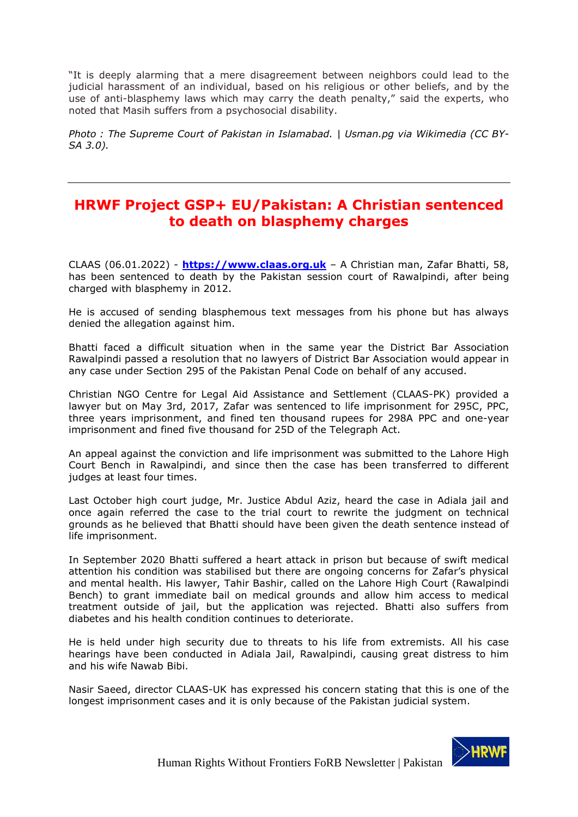"It is deeply alarming that a mere disagreement between neighbors could lead to the judicial harassment of an individual, based on his religious or other beliefs, and by the use of anti-blasphemy laws which may carry the death penalty," said the experts, who noted that Masih suffers from a psychosocial disability.

*Photo : The Supreme Court of Pakistan in Islamabad. | Usman.pg via Wikimedia (CC BY-SA 3.0).*

## <span id="page-29-0"></span>**HRWF Project GSP+ EU/Pakistan: A Christian sentenced to death on blasphemy charges**

CLAAS (06.01.2022) - **https://www.claas.org.uk** – A Christian man, Zafar Bhatti, 58, has been sentenced to death by the Pakistan session court of Rawalpindi, after being charged with blasphemy in 2012.

He is accused of sending blasphemous text messages from his phone but has always denied the allegation against him.

Bhatti faced a difficult situation when in the same year the District Bar Association Rawalpindi passed a resolution that no lawyers of District Bar Association would appear in any case under Section 295 of the Pakistan Penal Code on behalf of any accused.

Christian NGO Centre for Legal Aid Assistance and Settlement (CLAAS-PK) provided a lawyer but on May 3rd, 2017, Zafar was sentenced to life imprisonment for 295C, PPC, three years imprisonment, and fined ten thousand rupees for 298A PPC and one-year imprisonment and fined five thousand for 25D of the Telegraph Act.

An appeal against the conviction and life imprisonment was submitted to the Lahore High Court Bench in Rawalpindi, and since then the case has been transferred to different judges at least four times.

Last October high court judge, Mr. Justice Abdul Aziz, heard the case in Adiala jail and once again referred the case to the trial court to rewrite the judgment on technical grounds as he believed that Bhatti should have been given the death sentence instead of life imprisonment.

In September 2020 Bhatti suffered a heart attack in prison but because of swift medical attention his condition was stabilised but there are ongoing concerns for Zafar's physical and mental health. His lawyer, Tahir Bashir, called on the Lahore High Court (Rawalpindi Bench) to grant immediate bail on medical grounds and allow him access to medical treatment outside of jail, but the application was rejected. Bhatti also suffers from diabetes and his health condition continues to deteriorate.

He is held under high security due to threats to his life from extremists. All his case hearings have been conducted in Adiala Jail, Rawalpindi, causing great distress to him and his wife Nawab Bibi.

Nasir Saeed, director CLAAS-UK has expressed his concern stating that this is one of the longest imprisonment cases and it is only because of the Pakistan judicial system.